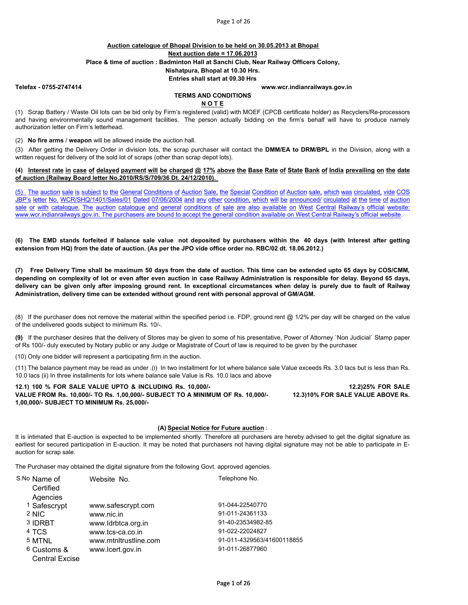#### Page 1 of 26

# **Auction catelogue of Bhopal Division to be held on 30.05.2013 at Bhopal**

# **Next auction date = 17.06.2013**

**Place & time of auction : Badminton Hall at Sanchi Club, Near Railway Officers Colony,** 

**Nishatpura, Bhopal at 10.30 Hrs.**

## **Entries shall start at 09.30 Hrs**

# **Telefax - 0755-2747414 www.wcr.indianrailways.gov.in**

### **TERMS AND CONDITIONS**

#### **N O T E**

(1) Scrap Battery / Waste Oil lots can be bid only by Firm's registered (valid) with MOEF (CPCB certificate holder) as Recyclers/Re-processors and having environmentally sound management facilities. The person actually bidding on the firm's behalf will have to produce namely authorization letter on Firm's letterhead.

(2) **No fire arms** / **weapon** will be allowed inside the auction hall.

(3) After getting the Delivery Order in division lots, the scrap purchaser will contact the **DMM/EA to DRM/BPL** in the Division, along with a written request for delivery of the sold lot of scraps (other than scrap depot lots).

#### (4) Interest rate in case of delayed payment will be charged @ 17% above the Base Rate of State Bank of India prevailing on the date **of auction (Railway Board letter No.2010/RS/S/709/36 Dt. 24/12/2010).**

(5) The auction sale is subject to the General Conditions of Auction Sale, the Special Condition of Auction sale, which was circulated, vide COS JBP's letter No. WCR/SHQ/1401/Sales/01 Dated 07/06/2004 and any other condition, which will be announced/ circulated at the time of auction sale or with catalogue. The auction catalogue and general conditions of sale are also available on West Central Railway's official website: www.wcr.indianrailways.gov.in. The purchasers are bound to accept the general condition available on West Central Railway's official website.

**(6) The EMD stands forfeited if balance sale value not deposited by purchasers within the 40 days (with Interest after getting extension from HQ) from the date of auction. (As per the JPO vide office order no. RBC/02 dt. 18.06.2012.)**

**(7) Free Delivery Time shall be maximum 50 days from the date of auction. This time can be extended upto 65 days by COS/CMM, depending on complexity of lot or even after even auction in case Railway Administration is responsible for delay. Beyond 65 days,** delivery can be given only after imposing ground rent. In exceptional circumstances when delay is purely due to fault of Railway<br>Administration, delivery time can be extended without ground rent with personal approval of G

(8) If the purchaser does not remove the material within the specified period i.e. FDP, ground rent @ 1/2% per day will be charged on the value of the undelivered goods subject to minimum Rs. 10/-.

**(9)** If the purchaser desires that the delivery of Stores may be given to some of his presentative, Power of Attorney `Non Judicial` Stamp paper of Rs 100/- duly executed by Notary public or any Judge or Magistrate of Court of law is required to be given by the purchaser.

(10) Only one bidder will represent a participating firm in the auction.

(11) The balance payment may be read as under .(i) In two installment for lot where balance sale Value exceeds Rs. 3.0 lacs but is less than Rs. 10.0 lacs (ii) In three installments for lots where balance sale Value is Rs. 10.0 lacs and above

## **12.1) 100 % FOR SALE VALUE UPTO & INCLUDING Rs. 10,000/- 12.2)25% FOR SALE VALUE FROM Rs. 10,000/- TO Rs. 1,00,000/- SUBJECT TO A MINIMUM OF Rs. 10,000/- 12.3)10% FOR SALE VALUE ABOVE Rs. 1,00,000/- SUBJECT TO MINIMUM Rs. 25,000/-**

#### **(A) Special Notice for Future auction** :

It is intimated that E-auction is expected to be implemented shortly. Therefore all purchasers are hereby advised to get the digital signature as earliest for secured participation in E-auction. It may be noted that purchasers not having digital signature may not be able to participate in Eauction for scrap sale.

The Purchaser may obtained the digital signature from the following Govt. approved agencies.

| S.No Name of          | Website No.           | Telephone No.              |
|-----------------------|-----------------------|----------------------------|
| Certified             |                       |                            |
| Agencies              |                       |                            |
| 1 Safescrypt          | www.safescrypt.com    | 91-044-22540770            |
| 2 NIC                 | www.nic.in            | 91-011-24361133            |
| 3 IDRBT               | www.ldrbtca.org.in    | 91-40-23534982-85          |
| 4 TCS                 | www.tcs-ca.co.in      | 91-022-22024827            |
| 5 MTNL                | www.mtnltrustline.com | 91-011-4329563/41600118855 |
| 6 Customs &           | www.lcert.gov.in      | 91-011-26877960            |
| <b>Central Excise</b> |                       |                            |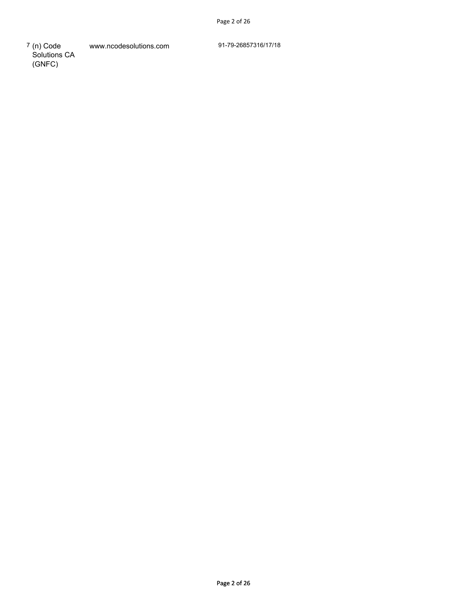7 (n) Code Solutions CA www.ncodesolutions.com 91-79-26857316/17/18

(GNFC)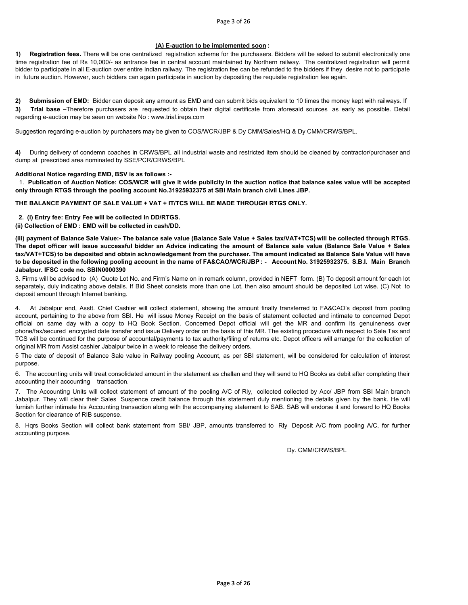## **(A) E-auction to be implemented soon :**

**1) Registration fees.** There will be one centralized registration scheme for the purchasers. Bidders will be asked to submit electronically one time registration fee of Rs 10,000/- as entrance fee in central account maintained by Northern railway. The centralized registration will permit bidder to participate in all E-auction over entire Indian railway. The registration fee can be refunded to the bidders if they desire not to participate in future auction. However, such bidders can again participate in auction by depositing the requisite registration fee again.

**2) Submission of EMD:** Bidder can deposit any amount as EMD and can submit bids equivalent to 10 times the money kept with railways. If **3) Trial base –**Therefore purchasers are requested to obtain their digital certificate from aforesaid sources as early as possible. Detail regarding e-auction may be seen on website No : www.trial.ireps.com

Suggestion regarding e-auction by purchasers may be given to COS/WCR/JBP & Dy CMM/Sales/HQ & Dy CMM/CRWS/BPL.

**4)** During delivery of condemn coaches in CRWS/BPL all industrial waste and restricted item should be cleaned by contractor/purchaser and dump at prescribed area nominated by SSE/PCR/CRWS/BPL

#### **Additional Notice regarding EMD, BSV is as follows :-**

1. **Publication of Auction Notice: COS/WCR will give it wide publicity in the auction notice that balance sales value will be accepted only through RTGS through the pooling account No.31925932375 at SBI Main branch civil Lines JBP.** 

**THE BALANCE PAYMENT OF SALE VALUE + VAT + IT/TCS WILL BE MADE THROUGH RTGS ONLY.**

 **2. (i) Entry fee: Entry Fee will be collected in DD/RTGS.** 

**(ii) Collection of EMD : EMD will be collected in cash/DD.** 

**(iii) payment of Balance Sale Value:- The balance sale value (Balance Sale Value + Sales tax/VAT+TCS) will be collected through RTGS. The depot officer will issue successful bidder an Advice indicating the amount of Balance sale value (Balance Sale Value + Sales tax/VAT+TCS) to be deposited and obtain acknowledgement from the purchaser. The amount indicated as Balance Sale Value will have to be deposited in the following pooling account in the name of FA&CAO/WCR/JBP : - Account No. 31925932375. S.B.I. Main Branch Jabalpur. IFSC code no. SBIN0000390** 

3. Firms will be advised to (A) Quote Lot No. and Firm's Name on in remark column, provided in NEFT form. (B) To deposit amount for each lot separately, duly indicating above details. If Bid Sheet consists more than one Lot, then also amount should be deposited Lot wise. (C) Not to<br>deposit amount through Internet banking.

At Jabalpur end, Asstt. Chief Cashier will collect statement, showing the amount finally transferred to FA&CAO's deposit from pooling account, pertaining to the above from SBI. He will issue Money Receipt on the basis of statement collected and intimate to concerned Depot official on same day with a copy to HQ Book Section. Concerned Depot official will get the MR and confirm its genuineness over phone/fax/secured encrypted date transfer and issue Delivery order on the basis of this MR. The existing procedure with respect to Sale Tax and TCS will be continued for the purpose of accountal/payments to tax authority/filing of returns etc. Depot officers will arrange for the collection of original MR from Assist cashier Jabalpur twice in a week to release the delivery orders.

5 The date of deposit of Balance Sale value in Railway pooling Account, as per SBI statement, will be considered for calculation of interest purpose.

6. The accounting units will treat consolidated amount in the statement as challan and they will send to HQ Books as debit after completing their accounting their accounting transaction.

7. The Accounting Units will collect statement of amount of the pooling A/C of Rly, collected collected by Acc/ JBP from SBI Main branch Jabalpur. They will clear their Sales Suspence credit balance through this statement duly mentioning the details given by the bank. He will furnish further intimate his Accounting transaction along with the accompanying statement to SAB. SAB will endorse it and forward to HQ Books Section for clearance of RIB suspense.

8. Hqrs Books Section will collect bank statement from SBI/ JBP, amounts transferred to Rly Deposit A/C from pooling A/C, for further accounting purpose.

Dy. CMM/CRWS/BPL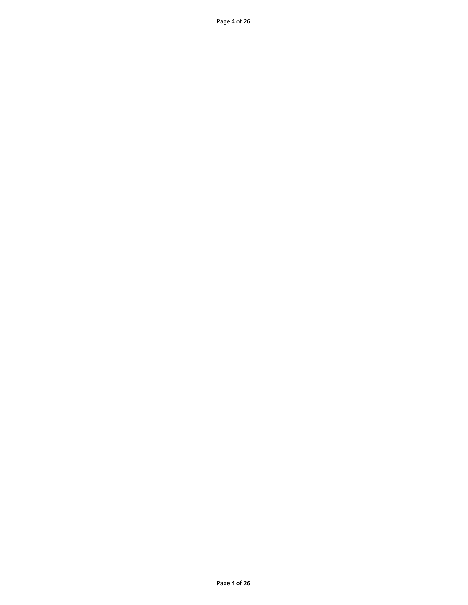Page 4 of 26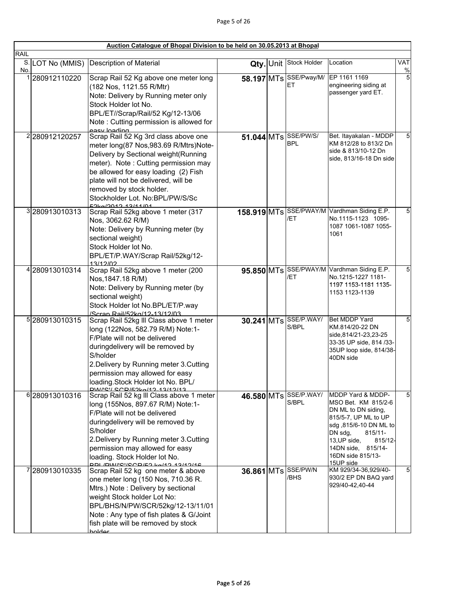|             |                  | Auction Catalogue of Bhopal Division to be held on 30.05.2013 at Bhopal                                                                                                                                                                                                                                                                           |             |                                    |                                                                                                                                                                                                                               |             |
|-------------|------------------|---------------------------------------------------------------------------------------------------------------------------------------------------------------------------------------------------------------------------------------------------------------------------------------------------------------------------------------------------|-------------|------------------------------------|-------------------------------------------------------------------------------------------------------------------------------------------------------------------------------------------------------------------------------|-------------|
| <b>RAIL</b> |                  |                                                                                                                                                                                                                                                                                                                                                   |             |                                    |                                                                                                                                                                                                                               |             |
| No.         | S. LOT No (MMIS) | <b>Description of Material</b>                                                                                                                                                                                                                                                                                                                    |             | Qty. Unit Stock Holder             | Location                                                                                                                                                                                                                      | VAT<br>$\%$ |
|             | 280912110220     | Scrap Rail 52 Kg above one meter long<br>(182 Nos, 1121.55 R/Mtr)<br>Note: Delivery by Running meter only<br>Stock Holder lot No.<br>BPL/ET//Scrap/Rail/52 Kg/12-13/06<br>Note: Cutting permission is allowed for<br>Adina Jusea                                                                                                                  |             | 58.197 MTs SSE/Pway/M/<br>ЕT       | EP 1161 1169<br>engineering siding at<br>passenger yard ET.                                                                                                                                                                   |             |
|             | 2280912120257    | Scrap Rail 52 Kg 3rd class above one<br>meter long(87 Nos, 983.69 R/Mtrs)Note-<br>Delivery by Sectional weight(Running<br>meter). Note: Cutting permission may<br>be allowed for easy loading (2) Fish<br>plate will not be delivered, will be<br>removed by stock holder.<br>Stockholder Lot. No:BPL/PW/S/Sc<br>50k <sub>2</sub> 0012 1211101    |             | 51.044 MTs SSE/PW/S/<br><b>BPL</b> | Bet. Itayakalan - MDDP<br>KM 812/28 to 813/2 Dn<br>side & 813/10-12 Dn<br>side, 813/16-18 Dn side                                                                                                                             | 5           |
|             | 3280913010313    | Scrap Rail 52kg above 1 meter (317<br>Nos, 3062.62 R/M)<br>Note: Delivery by Running meter (by<br>sectional weight)<br>Stock Holder lot No.<br>BPL/ET/P.WAY/Scrap Rail/52kg/12-<br>13/12/02                                                                                                                                                       | 158.919 MTs | /ET                                | SSE/PWAY/M Vardhman Siding E.P.<br>No.1115-1123 1095-<br>1087 1061-1087 1055-<br>1061                                                                                                                                         | 5           |
|             | 4280913010314    | Scrap Rail 52kg above 1 meter (200<br>Nos, 1847.18 R/M)<br>Note: Delivery by Running meter (by<br>sectional weight)<br>Stock Holder lot No.BPL/ET/P.way<br>/Scran Rail/52kg/12-13/12/03                                                                                                                                                           |             | /ET                                | 95.850 MTs SSE/PWAY/M Vardhman Siding E.P.<br>No.1215-1227 1181-<br>1197 1153-1181 1135-<br>1153 1123-1139                                                                                                                    | 5           |
|             | 5 280913010315   | Scrap Rail 52kg III Class above 1 meter<br>long (122Nos, 582.79 R/M) Note:1-<br>F/Plate will not be delivered<br>duringdelivery will be removed by<br>S/holder<br>2. Delivery by Running meter 3. Cutting<br>permission may allowed for easy<br>loading.Stock Holder lot No. BPL/                                                                 | 30.241 MTs  | SSE/P.WAY/<br>S/BPL                | Bet MDDP Yard<br>KM.814/20-22 DN<br>side, 814/21-23, 23-25<br>33-35 UP side, 814 /33-<br>35UP loop side, 814/38-<br>40DN side                                                                                                 | 5           |
|             | 6 280913010316   | DIMPOL CODIEDIALED 12/19/12<br>Scrap Rail 52 kg III Class above 1 meter<br>long (155Nos, 897.67 R/M) Note:1-<br>F/Plate will not be delivered<br>duringdelivery will be removed by<br>S/holder<br>2. Delivery by Running meter 3. Cutting<br>permission may allowed for easy<br>loading. Stock Holder lot No.<br>DDI IDWI'C'ICODIE WALLO 12/12/16 |             | 46.580 MTs SSE/P.WAY/<br>S/BPL     | MDDP Yard & MDDP-<br>MSO Bet. KM 815/2-6<br>DN ML to DN siding,<br>815/5-7, UP ML to UP<br>sdg ,815/6-10 DN ML to<br>DN sdg,<br>$815/11 -$<br>13, UP side,<br>815/12-<br>14DN side, 815/14-<br>16DN side 815/13-<br>15UP side | 5           |
|             | 7280913010335    | Scrap Rail 52 kg one meter & above<br>one meter long (150 Nos, 710.36 R.<br>Mtrs.) Note: Delivery by sectional<br>weight Stock holder Lot No:<br>BPL/BHS/N/PW/SCR/52kg/12-13/11/01<br>Note: Any type of fish plates & G/Joint<br>fish plate will be removed by stock<br>holdor                                                                    |             | 36.861 MTs SSE/PW/N<br>/BHS        | KM 929/34-36,929/40-<br>930/2 EP DN BAQ yard<br>929/40-42,40-44                                                                                                                                                               | 5           |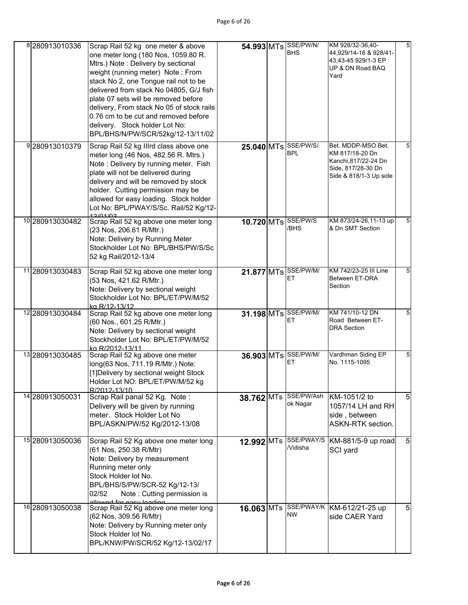| 8 280913010336  | Scrap Rail 52 kg one meter & above<br>one meter long (180 Nos, 1059.80 R.<br>Mtrs.) Note: Delivery by sectional<br>weight (running meter) Note: From<br>stack No 2, one Tongue rail not to be<br>delivered from stack No 04805, G/J fish<br>plate 07 sets will be removed before<br>delivery, From stack No 05 of stock rails<br>0.76 cm to be cut and removed before<br>delivery. Stock holder Lot No:<br>BPL/BHS/N/PW/SCR/52kg/12-13/11/02 |            | 54.993 MTs SSE/PW/N/<br><b>BHS</b> | KM 928/32-36,40-<br>44,929/14-16 & 928/41-<br>43,43-45 929/1-3 EP<br>UP & DN Road BAQ<br>Yard                 | 5 |
|-----------------|----------------------------------------------------------------------------------------------------------------------------------------------------------------------------------------------------------------------------------------------------------------------------------------------------------------------------------------------------------------------------------------------------------------------------------------------|------------|------------------------------------|---------------------------------------------------------------------------------------------------------------|---|
| 9280913010379   | Scrap Rail 52 kg Illrd class above one<br>meter long (46 Nos, 482.56 R. Mtrs.)<br>Note: Delivery by running meter. Fish<br>plate will not be delivered during<br>delivery and will be removed by stock<br>holder. Cutting permission may be<br>allowed for easy loading. Stock holder<br>Lot No: BPL/PWAY/S/Sc. Rail/52 Kg/12-<br><u>cainaich</u>                                                                                            |            | 25.040 MTs SSE/PW/S/<br><b>BPL</b> | Bet. MDDP-MSO Bet.<br>KM 817/18-20 Dn<br>Kanchi, 817/22-24 Dn<br>Side, 817/28-30 Dn<br>Side & 818/1-3 Up side | 5 |
| 10 280913030482 | Scrap Rail 52 kg above one meter long<br>(23 Nos, 206.61 R/Mtr.)<br>Note: Delivery by Running Meter<br>Stockholder Lot No: BPL/BHS/PW/S/Sc<br>52 kg Rail/2012-13/4                                                                                                                                                                                                                                                                           |            | 10.720 MTs SSE/PW/S<br>/BHS        | KM 873/24-26,11-13 up<br>& Dn SMT Section                                                                     | 5 |
| 11 280913030483 | Scrap Rail 52 kg above one meter long<br>(53 Nos, 421.62 R/Mtr.)<br>Note: Delivery by sectional weight<br>Stockholder Lot No: BPL/ET/PW/M/52<br>kg R/12-13/12                                                                                                                                                                                                                                                                                |            | 21.877 MTs SSE/PW/M/<br>EТ         | KM 742/23-25 III Line<br>Between ET-DRA<br>Section                                                            | 5 |
| 12 280913030484 | Scrap Rail 52 kg above one meter long<br>(60 Nos., 601.25 R/Mtr.)<br>Note: Delivery by sectional weight<br>Stockholder Lot No: BPL/ET/PW/M/52<br>ka R/2012-13/11                                                                                                                                                                                                                                                                             |            | 31.198 MTs SSE/PW/M/<br>EТ         | KM 741/10-12 DN<br>Road Between ET-<br><b>DRA Section</b>                                                     | 5 |
| 13 280913030485 | Scrap Rail 52 kg above one meter<br>long(63 Nos, 711.19 R/Mtr.) Note:<br>[1] Delivery by sectional weight Stock<br>Holder Lot NO: BPL/ET/PW/M/52 kg<br>R/2012-13/10                                                                                                                                                                                                                                                                          |            | 36.903 MTs SSE/PW/M/<br>EТ         | Vardhman Siding EP<br>No. 1115-1095                                                                           | 5 |
| 14 280913050031 | Scrap Rail panal 52 Kg. Note:<br>Delivery will be given by running<br>meter. Stock Holder Lot No<br>BPL/ASKN/PW/52 Kg/2012-13/08                                                                                                                                                                                                                                                                                                             |            | 38.762 MTs SSE/PW/Ash<br>ok Nagar  | KM-1051/2 to<br>1057/14 LH and RH<br>side, between<br>ASKN-RTK section.                                       | 5 |
| 15 280913050036 | Scrap Rail 52 Kg above one meter long<br>(61 Nos, 250.38 R/Mtr)<br>Note: Delivery by measurement<br>Running meter only<br>Stock Holder lot No.<br>BPL/BHS/S/PW/SCR-52 Kg/12-13/<br>02/52<br>Note: Cutting permission is<br>allowed for easy loading                                                                                                                                                                                          | 12.992 MTs | SSE/PWAY/S<br>/Vidisha             | KM-881/5-9 up road<br>SCI yard                                                                                | 5 |
| 16 280913050038 | Scrap Rail 52 Kg above one meter long<br>(62 Nos, 309.56 R/Mtr)<br>Note: Delivery by Running meter only<br>Stock Holder lot No.<br>BPL/KNW/PW/SCR/52 Kg/12-13/02/17                                                                                                                                                                                                                                                                          |            | NW.                                | 16.063 MTs SSE/PWAY/K KM-612/21-25 up<br>side CAER Yard                                                       | 5 |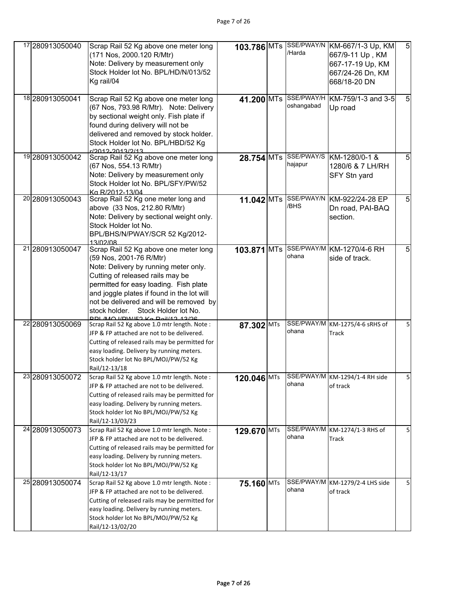| 17 280913050040 | Scrap Rail 52 Kg above one meter long          |             | 103.786 MTs SSE/PWAY/N | KM-667/1-3 Up, KM               | 5 |
|-----------------|------------------------------------------------|-------------|------------------------|---------------------------------|---|
|                 | (171 Nos, 2000.120 R/Mtr)                      |             | /Harda                 |                                 |   |
|                 |                                                |             |                        | 667/9-11 Up, KM                 |   |
|                 | Note: Delivery by measurement only             |             |                        | 667-17-19 Up, KM                |   |
|                 | Stock Holder lot No. BPL/HD/N/013/52           |             |                        | 667/24-26 Dn, KM                |   |
|                 | Kg rail/04                                     |             |                        | 668/18-20 DN                    |   |
|                 |                                                |             |                        |                                 |   |
| 18 280913050041 | Scrap Rail 52 Kg above one meter long          |             | 41.200 MTs SSE/PWAY/H  | KM-759/1-3 and 3-5              | 5 |
|                 | (67 Nos, 793.98 R/Mtr). Note: Delivery         |             | oshangabad             | Up road                         |   |
|                 | by sectional weight only. Fish plate if        |             |                        |                                 |   |
|                 | found during delivery will not be              |             |                        |                                 |   |
|                 | delivered and removed by stock holder.         |             |                        |                                 |   |
|                 | Stock Holder lot No. BPL/HBD/52 Kg             |             |                        |                                 |   |
|                 | r/2012_2013/2/13                               |             |                        |                                 |   |
| 19 280913050042 | Scrap Rail 52 Kg above one meter long          | 28.754 MTs  | SSE/PWAY/S             | KM-1280/0-1 &                   | 5 |
|                 | (67 Nos, 554.13 R/Mtr)                         |             | hajapur                | 1280/6 & 7 LH/RH                |   |
|                 | Note: Delivery by measurement only             |             |                        | SFY Stn yard                    |   |
|                 | Stock Holder lot No. BPL/SFY/PW/52             |             |                        |                                 |   |
|                 | Kg R/2012-13/04                                |             |                        |                                 |   |
| 20 280913050043 | Scrap Rail 52 Kg one meter long and            |             | 11.042 MTs SSE/PWAY/N  | KM-922/24-28 EP                 | 5 |
|                 | above (33 Nos, 212.80 R/Mtr)                   |             | /BHS                   | Dn road, PAI-BAQ                |   |
|                 | Note: Delivery by sectional weight only.       |             |                        | section.                        |   |
|                 | Stock Holder lot No.                           |             |                        |                                 |   |
|                 | BPL/BHS/N/PWAY/SCR 52 Kg/2012-                 |             |                        |                                 |   |
|                 | 13/02/08                                       |             |                        |                                 |   |
| 21 280913050047 | Scrap Rail 52 Kg above one meter long          | 103.871 MTs |                        | SSE/PWAY/M KM-1270/4-6 RH       | 5 |
|                 | (59 Nos, 2001-76 R/Mtr)                        |             | ohana                  | side of track.                  |   |
|                 | Note: Delivery by running meter only.          |             |                        |                                 |   |
|                 | Cutting of released rails may be               |             |                        |                                 |   |
|                 | permitted for easy loading. Fish plate         |             |                        |                                 |   |
|                 | and joggle plates if found in the lot will     |             |                        |                                 |   |
|                 | not be delivered and will be removed by        |             |                        |                                 |   |
|                 | stock holder. Stock Holder lot No.             |             |                        |                                 |   |
|                 | <b>DDI IMO JIDWIGO KA DAILI10 13/06</b>        |             |                        |                                 |   |
| 22 280913050069 | Scrap Rail 52 Kg above 1.0 mtr length. Note:   | 87.302 MTs  |                        | SSE/PWAY/M KM-1275/4-6 sRHS of  | 5 |
|                 | JFP & FP attached are not to be delivered.     |             | ohana                  | Track                           |   |
|                 | Cutting of released rails may be permitted for |             |                        |                                 |   |
|                 | easy loading. Delivery by running meters.      |             |                        |                                 |   |
|                 | Stock holder lot No BPL/MOJ/PW/52 Kg           |             |                        |                                 |   |
|                 | Rail/12-13/18                                  |             |                        |                                 |   |
| 23 280913050072 | Scrap Rail 52 Kg above 1.0 mtr length. Note:   | 120.046 MTs |                        | SSE/PWAY/M KM-1294/1-4 RH side  | 5 |
|                 | JFP & FP attached are not to be delivered.     |             | ohana                  | of track                        |   |
|                 | Cutting of released rails may be permitted for |             |                        |                                 |   |
|                 | easy loading. Delivery by running meters.      |             |                        |                                 |   |
|                 | Stock holder lot No BPL/MOJ/PW/52 Kg           |             |                        |                                 |   |
|                 | Rail/12-13/03/23                               |             |                        |                                 |   |
| 24 280913050073 | Scrap Rail 52 Kg above 1.0 mtr length. Note:   | 129.670 MTs |                        | SSE/PWAY/M KM-1274/1-3 RHS of   | 5 |
|                 | JFP & FP attached are not to be delivered.     |             | ohana                  | Track                           |   |
|                 | Cutting of released rails may be permitted for |             |                        |                                 |   |
|                 | easy loading. Delivery by running meters.      |             |                        |                                 |   |
|                 | Stock holder lot No BPL/MOJ/PW/52 Kg           |             |                        |                                 |   |
|                 | Rail/12-13/17                                  |             |                        |                                 |   |
| 25 280913050074 | Scrap Rail 52 Kg above 1.0 mtr length. Note:   |             |                        | SSE/PWAY/M KM-1279/2-4 LHS side | 5 |
|                 | JFP & FP attached are not to be delivered.     | 75.160 MTs  | ohana                  | of track                        |   |
|                 | Cutting of released rails may be permitted for |             |                        |                                 |   |
|                 |                                                |             |                        |                                 |   |
|                 | easy loading. Delivery by running meters.      |             |                        |                                 |   |
|                 | Stock holder lot No BPL/MOJ/PW/52 Kg           |             |                        |                                 |   |
|                 | Rail/12-13/02/20                               |             |                        |                                 |   |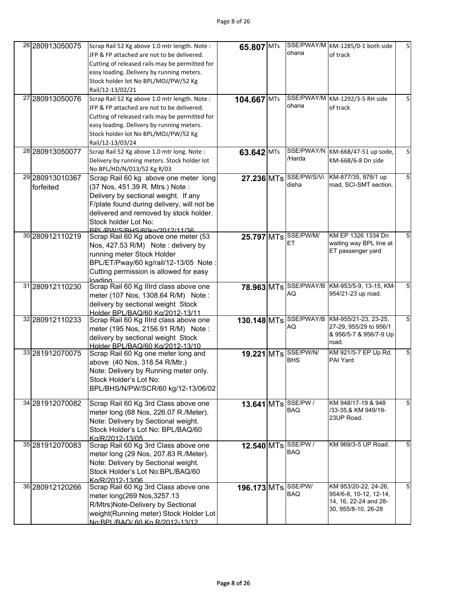| 26 280913050075 | Scrap Rail 52 Kg above 1.0 mtr length. Note:                         | 65.807 MTs          |                        | SSE/PWAY/M KM-1285/0-1 both side             | 5 <sub>l</sub> |
|-----------------|----------------------------------------------------------------------|---------------------|------------------------|----------------------------------------------|----------------|
|                 | JFP & FP attached are not to be delivered.                           |                     | ohana                  | of track                                     |                |
|                 | Cutting of released rails may be permitted for                       |                     |                        |                                              |                |
|                 | easy loading. Delivery by running meters.                            |                     |                        |                                              |                |
|                 | Stock holder lot No BPL/MOJ/PW/52 Kg                                 |                     |                        |                                              |                |
|                 | Rail/12-13/02/21                                                     |                     |                        |                                              |                |
| 27 280913050076 | Scrap Rail 52 Kg above 1.0 mtr length. Note:                         | 104.667 MTs         |                        | SSE/PWAY/M KM-1292/3-5 RH side               | 5              |
|                 | JFP & FP attached are not to be delivered.                           |                     | ohana                  | of track                                     |                |
|                 | Cutting of released rails may be permitted for                       |                     |                        |                                              |                |
|                 | easy loading. Delivery by running meters.                            |                     |                        |                                              |                |
|                 | Stock holder lot No BPL/MOJ/PW/52 Kg                                 |                     |                        |                                              |                |
|                 | Rail/12-13/03/24                                                     |                     |                        |                                              |                |
| 28 280913050077 | Scrap Rail 52 Kg above 1.0 mtr long. Note :                          | 63.642 MTs          | <b>SSE/PWAY/N</b>      | KM-668/47-51 up sode,                        | 5 <sub>l</sub> |
|                 | Delivery by running meters. Stock holder lot                         |                     | /Harda                 | KM-668/6-8 Dn side                           |                |
|                 |                                                                      |                     |                        |                                              |                |
| 29 280913010367 | No BPL/HD/N/013/52 Kg R/03                                           |                     | 27.236 MTs SSE/PW/S/Vi | KM-877/35, 878/1 up                          | 5 <sub>5</sub> |
|                 | Scrap Rail 60 kg above one meter long                                |                     | disha                  | road, SCI-SMT section.                       |                |
| forfeited       | (37 Nos, 451.39 R. Mtrs.) Note:                                      |                     |                        |                                              |                |
|                 | Delivery by sectional weight. If any                                 |                     |                        |                                              |                |
|                 | F/plate found during delivery, will not be                           |                     |                        |                                              |                |
|                 | delivered and removed by stock holder.                               |                     |                        |                                              |                |
|                 | Stock holder Lot No:                                                 |                     |                        |                                              |                |
| 30 280912110219 | RPL/PW/S/RHS/60kg/2012/11/36<br>Scrap Rail 60 Kg above one meter (53 |                     | 25.797 MTs SSE/PW/M/   | KM EP 1326 1334 Dn                           | 5 <sub>5</sub> |
|                 | Nos, 427.53 R/M) Note: delivery by                                   |                     | EТ                     | waiting way BPL line at                      |                |
|                 | running meter Stock Holder                                           |                     |                        | ET passenger yard                            |                |
|                 | BPL/ET/Pway/60 kg/rail/12-13/05 Note:                                |                     |                        |                                              |                |
|                 | Cutting permission is allowed for easy                               |                     |                        |                                              |                |
|                 | loading                                                              |                     |                        |                                              |                |
| 31 280912110230 | Scrap Rail 60 Kg Illrd class above one                               |                     |                        | 78.963 MTs SSE/PWAY/B KM-953/5-9, 13-15, KM- | 5 <sub>5</sub> |
|                 | meter (107 Nos, 1308.64 R/M) Note:                                   |                     | AQ                     | 954/21-23 up road.                           |                |
|                 | delivery by sectional weight Stock                                   |                     |                        |                                              |                |
|                 | Holder BPL/BAQ/60 Kg/2012-13/11                                      |                     |                        |                                              |                |
| 32 280912110233 | Scrap Rail 60 Kg Illrd class above one                               |                     |                        | 130.148 MTs SE/PWAY/B KM-955/21-23, 23-25,   | 5 <sub>5</sub> |
|                 | meter (195 Nos, 2156.91 R/M) Note:                                   |                     | AQ                     | 27-29, 955/29 to 956/1                       |                |
|                 | delivery by sectional weight Stock                                   |                     |                        | & 956/5-7 & 956/7-9 Up<br>road.              |                |
|                 | Holder BPL/BAQ/60 Ka/2012-13/10                                      |                     |                        |                                              |                |
| 33 281912070075 | Scrap Rail 60 Kg one meter long and                                  |                     | 19.221 MTs SSE/PW/N/   | KM 921/5-7 EP Up Rd.<br>PAI Yard             | 5 <sub>5</sub> |
|                 | above (40 Nos, 318.54 R/Mtr.)                                        |                     | <b>BHS</b>             |                                              |                |
|                 | Note: Delivery by Running meter only.                                |                     |                        |                                              |                |
|                 | Stock Holder's Lot No:                                               |                     |                        |                                              |                |
|                 | BPL/BHS/N/PW/SCR/60 kg/12-13/06/02                                   |                     |                        |                                              |                |
| 34 281912070082 | Scrap Rail 60 Kg 3rd Class above one                                 |                     | 13.641 MTs SSE/PW/     | KM 948/17-19 & 948                           | 5              |
|                 | meter long (68 Nos, 226.07 R./Meter).                                |                     | BAQ                    | /33-35,& KM 949/19-                          |                |
|                 | Note: Delivery by Sectional weight.                                  |                     |                        | 23UP Road.                                   |                |
|                 | Stock Holder's Lot No: BPL/BAQ/60                                    |                     |                        |                                              |                |
|                 | Ka/R/2012-13/05                                                      |                     |                        |                                              |                |
| 35 281912070083 | Scrap Rail 60 Kg 3rd Class above one                                 |                     | 12.540 MTs SSE/PW /    | KM 969/3-5 UP Road.                          | 5              |
|                 | meter long (29 Nos, 207.83 R./Meter).                                |                     | BAQ                    |                                              |                |
|                 | Note: Delivery by Sectional weight.                                  |                     |                        |                                              |                |
|                 | Stock Holder's Lot No:BPL/BAQ/60                                     |                     |                        |                                              |                |
|                 | Ka/R/2012-13/06                                                      |                     |                        |                                              |                |
| 36 280912120266 | Scrap Rail 60 Kg 3rd Class above one                                 | 196.173 MTs SSE/PW/ |                        | KM 953/20-22, 24-26,                         | 5              |
|                 | meter long(269 Nos, 3257.13                                          |                     | <b>BAQ</b>             | 954/6-8, 10-12, 12-14,                       |                |
|                 | R/Mtrs)Note-Delivery by Sectional                                    |                     |                        | 14, 16, 22-24 and 28-                        |                |
|                 | weight(Running meter) Stock Holder Lot                               |                     |                        | 30, 955/8-10, 26-28                          |                |
|                 | No:BPI/BAQ/ 60 Ka R/2012-13/12                                       |                     |                        |                                              |                |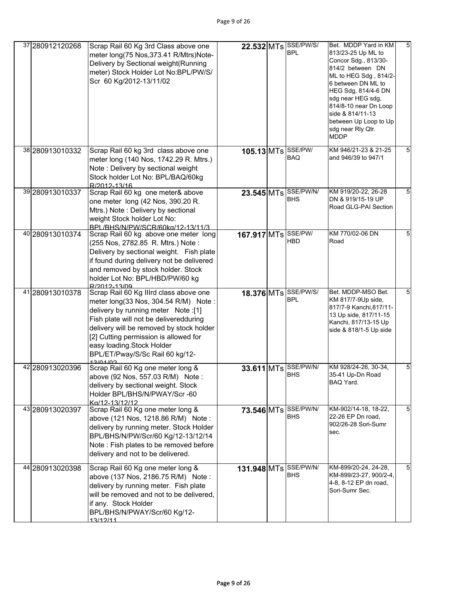| 37 280912120268 | Scrap Rail 60 Kg 3rd Class above one<br>meter long(75 Nos, 373.41 R/Mtrs)Note-<br>Delivery by Sectional weight (Running<br>meter) Stock Holder Lot No:BPL/PW/S/<br>Scr 60 Kg/2012-13/11/02                                                                                                                                        |                     | 22.532 MTs SSE/PW/S/<br><b>BPL</b>  | Bet. MDDP Yard in KM<br>813/23-25 Up ML to<br>Concor Sdg., 813/30-<br>814/2 between DN<br>ML to HEG Sdg, 814/2-<br>6 between DN ML to<br>HEG Sdg, 814/4-6 DN<br>sdg near HEG sdg,<br>814/8-10 near Dn Loop<br>side & 814/11-13<br>between Up Loop to Up<br>sdg near Rly Qtr.<br><b>MDDP</b> | 5 |
|-----------------|-----------------------------------------------------------------------------------------------------------------------------------------------------------------------------------------------------------------------------------------------------------------------------------------------------------------------------------|---------------------|-------------------------------------|---------------------------------------------------------------------------------------------------------------------------------------------------------------------------------------------------------------------------------------------------------------------------------------------|---|
| 38 280913010332 | Scrap Rail 60 kg 3rd class above one<br>meter long (140 Nos, 1742.29 R. Mtrs.)<br>Note: Delivery by sectional weight<br>Stock holder Lot No: BPL/BAQ/60kg<br>R/2012-13/16                                                                                                                                                         |                     | 105.13 MTs SE/PW<br>BAQ             | KM 946/21-23 & 21-25<br>and 946/39 to 947/1                                                                                                                                                                                                                                                 | 5 |
| 39 280913010337 | Scrap Rail 60 kg one meter& above<br>one meter long (42 Nos, 390.20 R.<br>Mtrs.) Note: Delivery by sectional<br>weight Stock holder Lot No:<br>BPI/BHS/N/PW/SCR/60kg/12-13/11/3                                                                                                                                                   |                     | 23.545 MTs SSE/PW/N/<br><b>BHS</b>  | KM 919/20-22, 26-28<br>DN & 919/15-19 UP<br>Road GLG-PAI Section                                                                                                                                                                                                                            | 5 |
| 40 280913010374 | Scrap Rail 60 kg above one meter long<br>(255 Nos, 2782.85 R. Mtrs.) Note:<br>Delivery by sectional weight. Fish plate<br>if found during delivery not be delivered<br>and removed by stock holder. Stock<br>holder Lot No: BPL/HBD/PW/60 kg<br>R/2012-13/09                                                                      | 167.917 MTs SSE/PW/ | HBD                                 | KM 770/02-06 DN<br>Road                                                                                                                                                                                                                                                                     | 5 |
| 41 280913010378 | Scrap Rail 60 Kg Illrd class above one<br>meter long(33 Nos, 304.54 R/M) Note:<br>delivery by running meter Note :[1]<br>Fish plate will not be deliveredduring<br>delivery will be removed by stock holder<br>[2] Cutting permission is allowed for<br>easy loading. Stock Holder<br>BPL/ET/Pway/S/Sc Rail 60 kg/12-<br>12/01/02 |                     | 18.376 MTs SSE/PW/S/<br><b>BPL</b>  | Bet. MDDP-MSO Bet.<br>KM 817/7-9Up side,<br>817/7-9 Kanchi, 817/11-<br>13 Up side, 817/11-15<br>Kanchi, 817/13-15 Up<br>side & 818/1-5 Up side                                                                                                                                              | 5 |
| 42 280913020396 | Scrap Rail 60 Kg one meter long &<br>above (92 Nos, 557.03 R/M) Note:<br>delivery by sectional weight. Stock<br>Holder BPL/BHS/N/PWAY/Scr -60<br>Ka/12-13/12/12                                                                                                                                                                   |                     | 33.611 MTs SE/PW/N/<br><b>BHS</b>   | KM 928/24-26, 30-34,<br>35-41 Up-Dn Road<br>BAQ Yard.                                                                                                                                                                                                                                       | 5 |
| 43 280913020397 | Scrap Rail 60 Kg one meter long &<br>above (121 Nos, 1218.86 R/M) Note:<br>delivery by running meter. Stock Holder<br>BPL/BHS/N/PW/Scr/60 Kg/12-13/12/14<br>Note: Fish plates to be removed before<br>delivery and not to be delivered.                                                                                           |                     | 73.546 MTs SSE/PW/N/<br><b>BHS</b>  | KM-902/14-18, 18-22,<br>22-26 EP Dn road,<br>902/26-28 Sori-Sumr<br>sec.                                                                                                                                                                                                                    | 5 |
| 44 280913020398 | Scrap Rail 60 Kg one meter long &<br>above (137 Nos, 2186.75 R/M) Note:<br>delivery by running meter. Fish plate<br>will be removed and not to be delivered,<br>if any. Stock Holder<br>BPL/BHS/N/PWAY/Scr/60 Kg/12-<br>13/12/11                                                                                                  |                     | 131.948 MTs SSE/PW/N/<br><b>BHS</b> | KM-899/20-24, 24-28,<br>KM-899/23-27, 900/2-4,<br>4-8, 8-12 EP dn road,<br>Sori-Sumr Sec.                                                                                                                                                                                                   | 5 |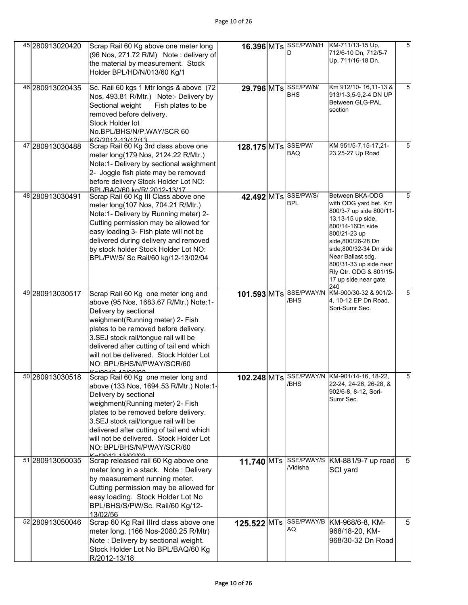| 45 280913020420 | Scrap Rail 60 Kg above one meter long<br>(96 Nos, 271.72 R/M) Note: delivery of<br>the material by measurement. Stock<br>Holder BPL/HD/N/013/60 Kg/1                                                                                                                                                                                                                         |                     | 16.396 MTs SSE/PW/N/H<br>D              | KM-711/13-15 Up,<br>712/6-10 Dn, 712/5-7<br>Up, 711/16-18 Dn.                                                                                                                                                                                                                        | 5 |
|-----------------|------------------------------------------------------------------------------------------------------------------------------------------------------------------------------------------------------------------------------------------------------------------------------------------------------------------------------------------------------------------------------|---------------------|-----------------------------------------|--------------------------------------------------------------------------------------------------------------------------------------------------------------------------------------------------------------------------------------------------------------------------------------|---|
| 46 280913020435 | Sc. Rail 60 kgs 1 Mtr longs & above (72<br>Nos, 493.81 R/Mtr.) Note:- Delivery by<br>Sectional weight<br>Fish plates to be<br>removed before delivery.<br>Stock Holder lot<br>No.BPL/BHS/N/P.WAY/SCR 60<br>KG/2012 <sub>-</sub> 13/12/13                                                                                                                                     |                     | 29.796 MTs SSE/PW/N/<br><b>BHS</b>      | Km 912/10-16,11-13 &<br>913/1-3,5-9,2-4 DN UP<br>Between GLG-PAL<br>section                                                                                                                                                                                                          | 5 |
| 47 280913030488 | Scrap Rail 60 Kg 3rd class above one<br>meter long(179 Nos, 2124.22 R/Mtr.)<br>Note:1- Delivery by sectional weighment<br>2- Joggle fish plate may be removed<br>before delivery Stock Holder Lot NO:<br>BPL/RAO/60 kg/R/ 2012-13/17                                                                                                                                         | 128.175 MTs SSE/PW/ | <b>BAQ</b>                              | KM 951/5-7,15-17,21-<br>23,25-27 Up Road                                                                                                                                                                                                                                             | 5 |
| 48 280913030491 | Scrap Rail 60 Kg III Class above one<br>meter long(107 Nos, 704.21 R/Mtr.)<br>Note:1- Delivery by Running meter) 2-<br>Cutting permission may be allowed for<br>easy loading 3- Fish plate will not be<br>delivered during delivery and removed<br>by stock holder Stock Holder Lot NO:<br>BPL/PW/S/ Sc Rail/60 kg/12-13/02/04                                               |                     | 42.492 MTs SSE/PW/S/<br><b>BPL</b>      | Between BKA-ODG<br>with ODG yard bet. Km<br>800/3-7 up side 800/11-<br>13,13-15 up side,<br>800/14-16Dn side<br>800/21-23 up<br>side,800/26-28 Dn<br>side, 800/32-34 Dn side<br>Near Ballast sdg.<br>800/31-33 up side near<br>Rly Qtr. ODG & 801/15-<br>17 up side near gate<br>240 | 5 |
| 49 280913030517 | Scrap Rail 60 Kg one meter long and<br>above (95 Nos, 1683.67 R/Mtr.) Note:1-<br>Delivery by sectional<br>weighment(Running meter) 2- Fish<br>plates to be removed before delivery.<br>3.SEJ stock rail/tongue rail will be<br>delivered after cutting of tail end which<br>will not be delivered. Stock Holder Lot<br>NO: BPL/BHS/N/PWAY/SCR/60<br>COICOISE SEOCIAL         |                     | 101.593 MTs SSE/PWAY/N<br>/BHS          | KM-900/30-32 & 901/2-<br>4, 10-12 EP Dn Road,<br>Sori-Sumr Sec.                                                                                                                                                                                                                      | 5 |
| 50 280913030518 | Scrap Rail 60 Kg one meter long and<br>above (133 Nos, 1694.53 R/Mtr.) Note:1-<br>Delivery by sectional<br>weighment(Running meter) 2- Fish<br>plates to be removed before delivery.<br>3.SEJ stock rail/tongue rail will be<br>delivered after cutting of tail end which<br>will not be delivered. Stock Holder Lot<br>NO: BPL/BHS/N/PWAY/SCR/60<br><u>CALORED ASIASIAS</u> |                     | /BHS                                    | 102.248 MTs SSE/PWAY/N KM-901/14-16, 18-22,<br>22-24, 24-26, 26-28, &<br>902/6-8, 8-12, Sori-<br>Sumr Sec.                                                                                                                                                                           | 5 |
| 51 280913050035 | Scrap released rail 60 Kg above one<br>meter long in a stack. Note: Delivery<br>by measurement running meter.<br>Cutting permission may be allowed for<br>easy loading. Stock Holder Lot No<br>BPL/BHS/S/PW/Sc. Rail/60 Kg/12-<br>13/02/56                                                                                                                                   |                     | 11.740 MTs SSE/PWAY/S<br><b>Nidisha</b> | KM-881/9-7 up road<br>SCI yard                                                                                                                                                                                                                                                       | 5 |
| 52 280913050046 | Scrap 60 Kg Rail IIIrd class above one<br>meter long. (166 Nos-2080.25 R/Mtr)<br>Note: Delivery by sectional weight.<br>Stock Holder Lot No BPL/BAQ/60 Kg<br>R/2012-13/18                                                                                                                                                                                                    |                     | AQ                                      | 125.522 MTs SSE/PWAY/B KM-968/6-8, KM-<br>968/18-20, KM-<br>968/30-32 Dn Road                                                                                                                                                                                                        | 5 |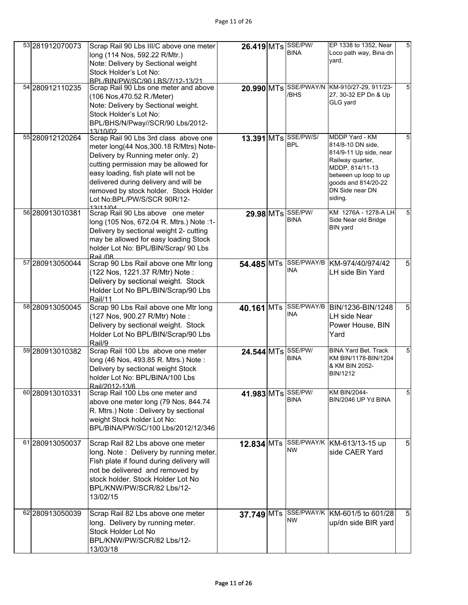| 53 281912070073 | Scrap Rail 90 Lbs III/C above one meter<br>long (114 Nos, 592.22 R/Mtr.)<br>Note: Delivery by Sectional weight<br>Stock Holder's Lot No:<br>BPL/BIN/PW/SC/90 LBS/7/12-13/21                                                                                                                                                          |            | 26.419 MTs SSE/PW/<br><b>BINA</b>  | EP 1338 to 1352, Near<br>Loco path way, Bina dn<br>yard.                                                                                                                           | 5 <sub>5</sub>  |
|-----------------|--------------------------------------------------------------------------------------------------------------------------------------------------------------------------------------------------------------------------------------------------------------------------------------------------------------------------------------|------------|------------------------------------|------------------------------------------------------------------------------------------------------------------------------------------------------------------------------------|-----------------|
| 54 280912110235 | Scrap Rail 90 Lbs one meter and above<br>(106 Nos, 470.52 R./Meter)<br>Note: Delivery by Sectional weight.<br>Stock Holder's Lot No:<br>BPL/BHS/N/Pway//SCR/90 Lbs/2012-<br>13/10/02                                                                                                                                                 |            | /BHS                               | 20.990 MTs SSE/PWAY/N KM-910/27-29, 911/23-<br>27, 30-32 EP Dn & Up<br>GLG yard                                                                                                    | 5 <sub>5</sub>  |
| 55 280912120264 | Scrap Rail 90 Lbs 3rd class above one<br>meter long(44 Nos, 300.18 R/Mtrs) Note-<br>Delivery by Running meter only. 2)<br>cutting permission may be allowed for<br>easy loading, fish plate will not be<br>delivered during delivery and will be<br>removed by stock holder. Stock Holder<br>Lot No:BPL/PW/S/SCR 90R/12-<br>12111101 |            | 13.391 MTs SSE/PW/S/<br><b>BPL</b> | MDDP Yard - KM<br>814/8-10 DN side,<br>814/9-11 Up side, near<br>Railway quarter,<br>MDDP, 814/11-13<br>between up loop to up<br>goods and 814/20-22<br>DN Side near DN<br>siding. | 5               |
| 56 280913010381 | Scrap Rail 90 Lbs above one meter<br>long (105 Nos, 672.04 R. Mtrs.) Note :1-<br>Delivery by sectional weight 2- cutting<br>may be allowed for easy loading Stock<br>holder Lot No: BPL/BIN/Scrap/ 90 Lbs<br>Rail /08                                                                                                                | 29.98 MTs  | SSE/PW/<br><b>BINA</b>             | KM 1276A - 1278-A LH<br>Side Near old Bridge<br><b>BIN</b> yard                                                                                                                    | 5 <sub>5</sub>  |
| 57 280913050044 | Scrap 90 Lbs Rail above one Mtr long<br>(122 Nos, 1221.37 R/Mtr) Note:<br>Delivery by sectional weight. Stock<br>Holder Lot No BPL/BIN/Scrap/90 Lbs<br>Rail/11                                                                                                                                                                       | 54.485 MTs | INA                                | SSE/PWAY/B   KM-974/40/974/42<br>LH side Bin Yard                                                                                                                                  | 5 <sub>l</sub>  |
| 58 280913050045 | Scrap 90 Lbs Rail above one Mtr long<br>(127 Nos, 900.27 R/Mtr) Note:<br>Delivery by sectional weight. Stock<br>Holder Lot No BPL/BIN/Scrap/90 Lbs<br>Rail/9                                                                                                                                                                         | 40.161 MTs | INA                                | SSE/PWAY/B BIN/1236-BIN/1248<br>LH side Near<br>Power House, BIN<br>Yard                                                                                                           | 5 <sup>1</sup>  |
| 59 280913010382 | Scrap Rail 100 Lbs above one meter<br>long (46 Nos, 493.85 R. Mtrs.) Note:<br>Delivery by sectional weight Stock<br>holder Lot No: BPL/BINA/100 Lbs<br><u>Rail/2012-13/6.</u>                                                                                                                                                        | 24.544 MTs | SSE/PW/<br><b>BINA</b>             | <b>BINA Yard Bet. Track</b><br>KM BIN/1178-BIN/1204<br>& KM BIN 2052-<br><b>BIN/1212</b>                                                                                           | 5 <sub>5</sub>  |
| 60 280913010331 | Scrap Rail 100 Lbs one meter and<br>above one meter long (79 Nos, 844.74<br>R. Mtrs.) Note: Delivery by sectional<br>weight Stock holder Lot No:<br>BPL/BINA/PW/SC/100 Lbs/2012/12/346                                                                                                                                               |            | 41.983 MTs SSE/PW/<br><b>BINA</b>  | <b>KM BIN/2044-</b><br>BIN/2046 UP Yd BINA                                                                                                                                         | $5\overline{)}$ |
| 61 280913050037 | Scrap Rail 82 Lbs above one meter<br>long. Note: Delivery by running meter.<br>Fish plate if found during delivery will<br>not be delivered and removed by<br>stock holder. Stock Holder Lot No<br>BPL/KNW/PW/SCR/82 Lbs/12-<br>13/02/15                                                                                             |            | NW                                 | 12.834 MTs SSE/PWAY/K KM-613/13-15 up<br>side CAER Yard                                                                                                                            | 5 <sub>l</sub>  |
| 62 280913050039 | Scrap Rail 82 Lbs above one meter<br>long. Delivery by running meter.<br>Stock Holder Lot No<br>BPL/KNW/PW/SCR/82 Lbs/12-<br>13/03/18                                                                                                                                                                                                |            | <b>NW</b>                          | 37.749 MTs SSE/PWAY/K KM-601/5 to 601/28<br>up/dn side BIR yard                                                                                                                    | 5 <sub>5</sub>  |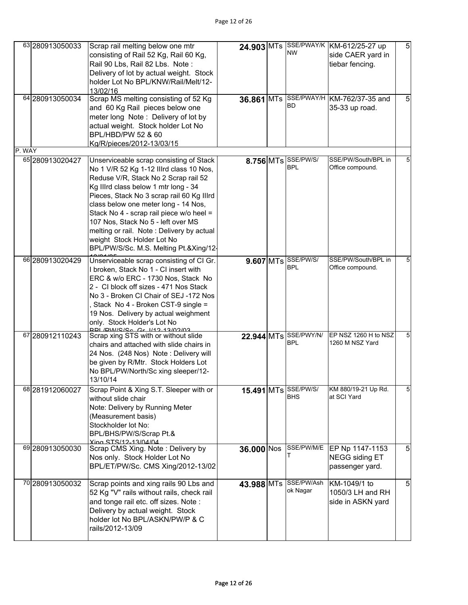|        | 63 280913050033 | Scrap rail melting below one mtr<br>consisting of Rail 52 Kg, Rail 60 Kg,<br>Rail 90 Lbs, Rail 82 Lbs. Note:<br>Delivery of lot by actual weight. Stock<br>holder Lot No BPL/KNW/Rail/Melt/12-<br>13/02/16                                                                                                                                                                                                                                                     |            | NW.                                | 24.903 MTs SSE/PWAY/K KM-612/25-27 up<br>side CAER yard in<br>tiebar fencing. | 5 <sub>l</sub> |
|--------|-----------------|----------------------------------------------------------------------------------------------------------------------------------------------------------------------------------------------------------------------------------------------------------------------------------------------------------------------------------------------------------------------------------------------------------------------------------------------------------------|------------|------------------------------------|-------------------------------------------------------------------------------|----------------|
|        | 64 280913050034 | Scrap MS melting consisting of 52 Kg<br>and 60 Kg Rail pieces below one<br>meter long Note: Delivery of lot by<br>actual weight. Stock holder Lot No<br>BPL/HBD/PW 52 & 60<br>Kg/R/pieces/2012-13/03/15                                                                                                                                                                                                                                                        |            | BD                                 | 36.861 MTs SSE/PWAY/H KM-762/37-35 and<br>35-33 up road.                      | 5              |
| P. WAY |                 |                                                                                                                                                                                                                                                                                                                                                                                                                                                                |            |                                    |                                                                               |                |
|        | 65 280913020427 | Unserviceable scrap consisting of Stack<br>No 1 V/R 52 Kg 1-12 Illrd class 10 Nos,<br>Reduse V/R, Stack No 2 Scrap rail 52<br>Kg IIIrd class below 1 mtr long - 34<br>Pieces, Stack No 3 scrap rail 60 Kg Illrd<br>class below one meter long - 14 Nos,<br>Stack No 4 - scrap rail piece w/o heel =<br>107 Nos, Stack No 5 - left over MS<br>melting or rail. Note: Delivery by actual<br>weight Stock Holder Lot No<br>BPL/PW/S/Sc. M.S. Melting Pt.&Xing/12- |            | 8.756 MTs SSE/PW/S/<br><b>BPL</b>  | SSE/PW/South/BPL in<br>Office compound.                                       |                |
|        | 66 280913020429 | Unserviceable scrap consisting of CI Gr.<br>I broken, Stack No 1 - CI insert with<br>ERC & w/o ERC - 1730 Nos, Stack No<br>2 - CI block off sizes - 471 Nos Stack<br>No 3 - Broken CI Chair of SEJ -172 Nos<br>Stack No 4 - Broken CST-9 single =<br>19 Nos. Delivery by actual weighment<br>only. Stock Holder's Lot No<br>RDI /DIM/C/So Cr 1/12 12/02/02                                                                                                     |            | 9.607 MTs SSE/PW/S/<br><b>BPL</b>  | SSE/PW/South/BPL in<br>Office compound.                                       | 5              |
|        | 67 280912110243 | Scrap xing STS with or without slide<br>chairs and attached with slide chairs in<br>24 Nos. (248 Nos) Note: Delivery will<br>be given by R/Mtr. Stock Holders Lot<br>No BPL/PW/North/Sc xing sleeper/12-<br>13/10/14                                                                                                                                                                                                                                           |            | 22.944 MTs SSE/PWY/N/<br>BPL       | EP NSZ 1260 H to NSZ<br>1260 M NSZ Yard                                       | 5              |
|        | 68 281912060027 | Scrap Point & Xing S.T. Sleeper with or<br>without slide chair<br>Note: Delivery by Running Meter<br>(Measurement basis)<br>Stockholder lot No:<br>BPL/BHS/PW/S/Scrap Pt.&<br>Xing STS/12-13/04/04                                                                                                                                                                                                                                                             |            | 15.491 MTs SSE/PW/S/<br><b>BHS</b> | KM 880/19-21 Up Rd.<br>at SCI Yard                                            | 5              |
|        | 69 280913050030 | Scrap CMS Xing. Note: Delivery by<br>Nos only. Stock Holder Lot No<br>BPL/ET/PW/Sc. CMS Xing/2012-13/02                                                                                                                                                                                                                                                                                                                                                        | 36.000 Nos | SSE/PW/M/E                         | EP Np 1147-1153<br>NEGG siding ET<br>passenger yard.                          | 5              |
|        | 70 280913050032 | Scrap points and xing rails 90 Lbs and<br>52 Kg "V" rails without rails, check rail<br>and tonge rail etc. off sizes. Note:<br>Delivery by actual weight. Stock<br>holder lot No BPL/ASKN/PW/P & C<br>rails/2012-13/09                                                                                                                                                                                                                                         | 43.988 MTs | SSE/PW/Ash<br>ok Nagar             | KM-1049/1 to<br>1050/3 LH and RH<br>side in ASKN yard                         | 5              |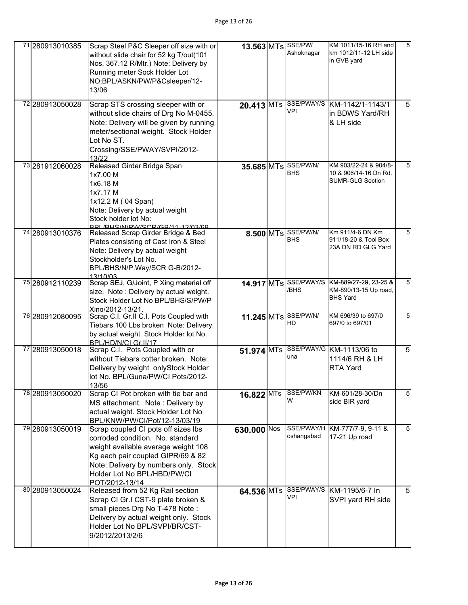| 71 280913010385 | Scrap Steel P&C Sleeper off size with or<br>without slide chair for 52 kg T/out(101<br>Nos, 367.12 R/Mtr.) Note: Delivery by<br>Running meter Sock Holder Lot<br>NO;BPL/ASKN/PW/P&Csleeper/12-<br>13/06                                       |             | 13.563 MTs SSE/PW/<br>Ashoknagar  | KM 1011/15-16 RH and<br>km 1012/11-12 LH side<br>in GVB yard                            | 5 <sub>l</sub> |
|-----------------|-----------------------------------------------------------------------------------------------------------------------------------------------------------------------------------------------------------------------------------------------|-------------|-----------------------------------|-----------------------------------------------------------------------------------------|----------------|
| 72 280913050028 | Scrap STS crossing sleeper with or<br>without slide chairs of Drg No M-0455.<br>Note: Delivery will be given by running<br>meter/sectional weight. Stock Holder<br>Lot No ST.<br>Crossing/SSE/PWAY/SVPI/2012-<br>13/22                        |             | VPI                               | 20.413 MTs SSE/PWAY/S KM-1142/1-1143/1<br>in BDWS Yard/RH<br>& LH side                  | 5              |
| 73 281912060028 | Released Girder Bridge Span<br>1x7.00 M<br>1x6.18 M<br>1x7.17 M<br>1x12.2 M (04 Span)<br>Note: Delivery by actual weight<br>Stock holder lot No:<br>RDI /RHS/N/PW/SCR/CR/11_12/03/60                                                          |             | 35.685 MTs SSE/PW/N/<br>BHS       | KM 903/22-24 & 904/8-<br>10 & 906/14-16 Dn Rd.<br><b>SUMR-GLG Section</b>               | 5 <sub>5</sub> |
| 74 280913010376 | Released Scrap Girder Bridge & Bed<br>Plates consisting of Cast Iron & Steel<br>Note: Delivery by actual weight<br>Stockholder's Lot No.<br>BPL/BHS/N/P.Way/SCR G-B/2012-<br>13/10/03                                                         |             | 8.500 MTs SSE/PW/N/<br><b>BHS</b> | Km 911/4-6 DN Km<br>911/18-20 & Tool Box<br>23A DN RD GLG Yard                          | 5 <sub>5</sub> |
| 75 280912110239 | Scrap SEJ, G/Joint, P Xing material off<br>size. Note: Delivery by actual weight.<br>Stock Holder Lot No BPL/BHS/S/PW/P<br>Xing/2012-13/21                                                                                                    |             | /BHS                              | 14.917 MTs SSE/PWAY/S KM-889/27-29, 23-25 &<br>KM-890/13-15 Up road,<br><b>BHS Yard</b> | 5 <sub>5</sub> |
| 76 280912080095 | Scrap C.I. Gr.II C.I. Pots Coupled with<br>Tiebars 100 Lbs broken Note: Delivery<br>by actual weight Stock Holder lot No.<br>BPL/HD/N/Cl Gr.II/17                                                                                             |             | 11.245 MTs SSE/PW/N/<br>HD        | KM 696/39 to 697/0<br>697/0 to 697/01                                                   | 5              |
| 77 280913050018 | Scrap C.I. Pots Coupled with or<br>without Tiebars cotter broken. Note:<br>Delivery by weight onlyStock Holder<br>lot No. BPL/Guna/PW/Cl Pots/2012-<br>13/56                                                                                  | 51.974 MTs  | una                               | SSE/PWAY/G KM-1113/06 to<br>1114/6 RH & LH<br><b>RTA Yard</b>                           | 5              |
| 78 280913050020 | Scrap CI Pot broken with tie bar and<br>MS attachment. Note: Delivery by<br>actual weight. Stock Holder Lot No<br>BPL/KNW/PW/Cl/Pot/12-13/03/19                                                                                               | 16.822 MTs  | SSE/PW/KN<br>W                    | KM-601/28-30/Dn<br>side BIR yard                                                        | 5 <sub>5</sub> |
| 79 280913050019 | Scrap coupled CI pots off sizes lbs<br>corroded condition. No. standard<br>weight available average weight 108<br>Kg each pair coupled GIPR/69 & 82<br>Note: Delivery by numbers only. Stock<br>Holder Lot No BPL/HBD/PW/CI<br>POT/2012-13/14 | 630.000 Nos | oshangabad                        | SSE/PWAY/H KM-777/7-9, 9-11 &<br>17-21 Up road                                          | 5 <sub>5</sub> |
| 80 280913050024 | Released from 52 Kg Rail section<br>Scrap CI Gr.I CST-9 plate broken &<br>small pieces Drg No T-478 Note:<br>Delivery by actual weight only. Stock<br>Holder Lot No BPL/SVPI/BR/CST-<br>9/2012/2013/2/6                                       |             | VPI                               | 64.536 MTs SSE/PWAY/S KM-1195/6-7 In<br>SVPI yard RH side                               | $5 \mid$       |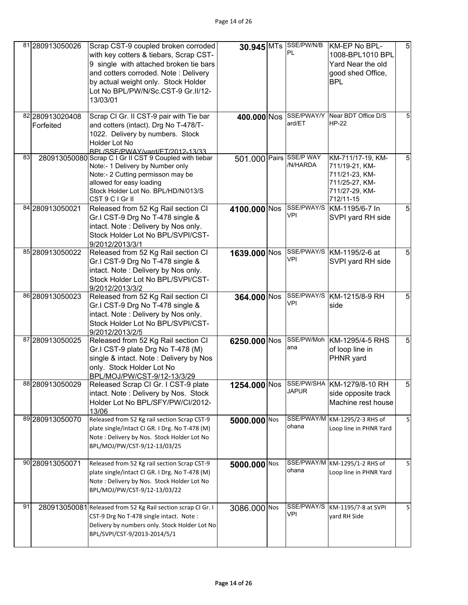|    | 81 280913050026              | Scrap CST-9 coupled broken corroded<br>with key cotters & tiebars, Scrap CST-<br>9 single with attached broken tie bars<br>and cotters corroded. Note: Delivery<br>by actual weight only. Stock Holder<br>Lot No BPL/PW/N/Sc.CST-9 Gr.II/12-<br>13/03/01  |              | 30.945 MTs SSE/PW/N/B<br>PL         | KM-EP No BPL-<br>1008-BPL1010 BPL<br>Yard Near the old<br>good shed Office,<br><b>BPL</b>              | 5              |
|----|------------------------------|-----------------------------------------------------------------------------------------------------------------------------------------------------------------------------------------------------------------------------------------------------------|--------------|-------------------------------------|--------------------------------------------------------------------------------------------------------|----------------|
|    | 82 280913020408<br>Forfeited | Scrap CI Gr. II CST-9 pair with Tie bar<br>and cotters (intact). Drg No T-478/T-<br>1022. Delivery by numbers. Stock<br>Holder Lot No                                                                                                                     | 400.000 Nos  | SSE/PWAY/Y<br>ard/ET                | Near BDT Office D/S<br><b>HP-22</b>                                                                    | 5 <sub>5</sub> |
| 83 |                              | IBPL/SSE/PWAY/vard/FT/2012-13/33<br>280913050080 Scrap C I Gr II CST 9 Coupled with tiebar<br>Note:- 1 Delivery by Number only<br>Note:- 2 Cutting permisson may be<br>allowed for easy loading<br>Stock Holder Lot No. BPL/HD/N/013/S<br>CST 9 C I Gr II |              | 501.000 Pairs SSE/P WAY<br>/N/HARDA | KM-711/17-19, KM-<br>711/19-21, KM-<br>711/21-23, KM-<br>711/25-27, KM-<br>711/27-29, KM-<br>712/11-15 | 5              |
|    | 84 280913050021              | Released from 52 Kg Rail section CI<br>Gr.I CST-9 Drg No T-478 single &<br>intact. Note: Delivery by Nos only.<br>Stock Holder Lot No BPL/SVPI/CST-<br>9/2012/2013/3/1                                                                                    | 4100.000 Nos | SSE/PWAY/S<br>VPI                   | KM-1195/6-7 In<br>SVPI yard RH side                                                                    | 5              |
|    | 85 280913050022              | Released from 52 Kg Rail section CI<br>Gr.I CST-9 Drg No T-478 single &<br>intact. Note: Delivery by Nos only.<br>Stock Holder Lot No BPL/SVPI/CST-<br>9/2012/2013/3/2                                                                                    | 1639.000 Nos | VPI                                 | SSE/PWAY/S   KM-1195/2-6 at<br>SVPI yard RH side                                                       | 5              |
|    | 86 280913050023              | Released from 52 Kg Rail section CI<br>Gr.I CST-9 Drg No T-478 single &<br>intact. Note: Delivery by Nos only.<br>Stock Holder Lot No BPL/SVPI/CST-<br>9/2012/2013/2/5                                                                                    | 364.000 Nos  | SSE/PWAY/S<br><b>VPI</b>            | KM-1215/8-9 RH<br>side                                                                                 | 5              |
|    | 87 280913050025              | Released from 52 Kg Rail section CI<br>Gr.I CST-9 plate Drg No T-478 (M)<br>single & intact. Note: Delivery by Nos<br>only. Stock Holder Lot No<br>BPL/MOJ/PW/CST-9/12-13/3/29                                                                            | 6250.000 Nos | SSE/PW/Moh<br>ana                   | KM-1295/4-5 RHS<br>of loop line in<br>PHNR yard                                                        | 5              |
|    | 88 280913050029              | Released Scrap CI Gr. I CST-9 plate<br>intact. Note: Delivery by Nos. Stock<br>Holder Lot No BPL/SFY/PW/Cl/2012-<br>13/06                                                                                                                                 | 1254.000 Nos | SSE/PW/SHA<br><b>JAPUR</b>          | KM-1279/8-10 RH<br>side opposite track<br>Machine rest house                                           | 5              |
|    | 89 280913050070              | Released from 52 Kg rail section Scrap CST-9<br>plate single/intact CI GR. I Drg. No T-478 (M)<br>Note: Delivery by Nos. Stock Holder Lot No<br>BPL/MOJ/PW/CST-9/12-13/03/25                                                                              | 5000.000 Nos | ohana                               | SSE/PWAY/M KM-1295/2-3 RHS of<br>Loop line in PHNR Yard                                                | 5              |
|    | 90 280 9130 500 71           | Released from 52 Kg rail section Scrap CST-9<br>plate single/intact CI GR. I Drg. No T-478 (M)<br>Note: Delivery by Nos. Stock Holder Lot No<br>BPL/MOJ/PW/CST-9/12-13/03/22                                                                              | 5000.000 Nos | SSE/PWAY/M<br>ohana                 | KM-1295/1-2 RHS of<br>Loop line in PHNR Yard                                                           | 5              |
| 91 |                              | 280913050081 Released from 52 Kg Rail section scrap CI Gr. I<br>CST-9 Drg No T-478 single intact. Note:<br>Delivery by numbers only. Stock Holder Lot No<br>BPL/SVPI/CST-9/2013-2014/5/1                                                                  | 3086.000 Nos | SSE/PWAY/S<br><b>VPI</b>            | KM-1195/7-8 at SVPI<br>yard RH Side                                                                    | 5              |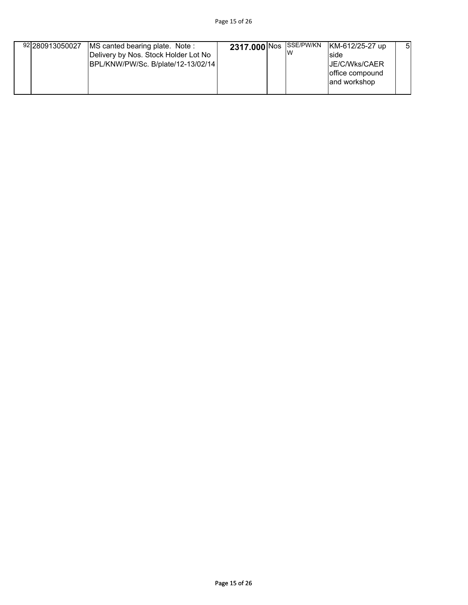| 92 2809 1305 0027 | MS canted bearing plate. Note:<br>Delivery by Nos. Stock Holder Lot No<br> BPL/KNW/PW/Sc. B/plate/12-13/02/14 | $2317.000$ Nos SSE/PW/KN |  | KM-612/25-27 up<br>side<br><b>IJE/C/Wks/CAER</b><br>office compound<br>and workshop | 5 |
|-------------------|---------------------------------------------------------------------------------------------------------------|--------------------------|--|-------------------------------------------------------------------------------------|---|
|-------------------|---------------------------------------------------------------------------------------------------------------|--------------------------|--|-------------------------------------------------------------------------------------|---|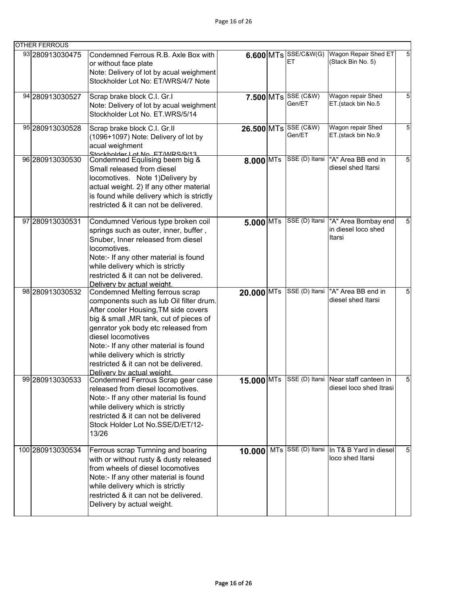| <b>OTHER FERROUS</b> |                                                                                                                                                                                                                                                                                                                                                                               |             |                                |                                                                      |   |
|----------------------|-------------------------------------------------------------------------------------------------------------------------------------------------------------------------------------------------------------------------------------------------------------------------------------------------------------------------------------------------------------------------------|-------------|--------------------------------|----------------------------------------------------------------------|---|
| 93 280913030475      | Condemned Ferrous R.B. Axle Box with<br>or without face plate<br>Note: Delivery of lot by acual weighment<br>Stockholder Lot No: ET/WRS/4/7 Note                                                                                                                                                                                                                              |             | 6.600 MTs SSE/C&W(G)<br>EТ     | Wagon Repair Shed ET<br>(Stack Bin No. 5)                            | 5 |
| 94 280913030527      | Scrap brake block C.I. Gr.I<br>Note: Delivery of lot by acual weighment<br>Stockholder Lot No. ET.WRS/5/14                                                                                                                                                                                                                                                                    | 7.500 MTs   | SSE (C&W)<br>Gen/ET            | Wagon repair Shed<br>ET.(stack bin No.5                              | 5 |
| 95 280913030528      | Scrap brake block C.I. Gr.II<br>(1096+1097) Note: Delivery of lot by<br>acual weighment                                                                                                                                                                                                                                                                                       |             | 26.500 MTs SSE (C&W)<br>Gen/ET | Wagon repair Shed<br>ET.(stack bin No.9                              | 5 |
| 96 280913030530      | Stockholder Lot No. ET/MRS/0/13<br>Condemned Equlising beem big &<br>Small released from diesel<br>locomotives. Note 1) Delivery by<br>actual weight. 2) If any other material<br>is found while delivery which is strictly<br>restricted & it can not be delivered.                                                                                                          | $8.000$ MTs |                                | SSE (D) Itarsi   "A" Area BB end in<br>diesel shed Itarsi            | 5 |
| 97 280913030531      | Condumned Verious type broken coil<br>springs such as outer, inner, buffer,<br>Snuber, Inner released from diesel<br>locomotives.<br>Note:- If any other material is found<br>while delivery which is strictly<br>restricted & it can not be delivered.<br>Delivery by actual weight.                                                                                         | $5.000$ MTs |                                | SSE (D) Itarsi  "A" Area Bombay end<br>in diesel loco shed<br>Itarsi | 5 |
| 98 280913030532      | Condemned Melting ferrous scrap<br>components such as lub Oil filter drum.<br>After cooler Housing, TM side covers<br>big & small, MR tank, cut of pieces of<br>genrator yok body etc released from<br>diesel locomotives<br>Note:- If any other material is found<br>while delivery which is strictly<br>restricted & it can not be delivered.<br>Delivery by actual weight. | 20.000 MTs  | SSE (D) Itarsi                 | "A" Area BB end in<br>diesel shed Itarsi                             | 5 |
| 99 280913030533      | Condemned Ferrous Scrap gear case<br>released from diesel locomotives.<br>Note:- If any other material lis found<br>while delivery which is strictly<br>restricted & it can not be delivered<br>Stock Holder Lot No.SSE/D/ET/12-<br>13/26                                                                                                                                     | 15.000 MTs  |                                | SSE (D) Itarsi Near staff canteen in<br>diesel loco shed Itrasi      | 5 |
| 100 280913030534     | Ferrous scrap Turnning and boaring<br>with or without rusty & dusty released<br>from wheels of diesel locomotives<br>Note:- If any other material is found<br>while delivery which is strictly<br>restricted & it can not be delivered.<br>Delivery by actual weight.                                                                                                         | 10.000      |                                | MTs SSE (D) Itarsi   In T& B Yard in diesel<br>loco shed Itarsi      | 5 |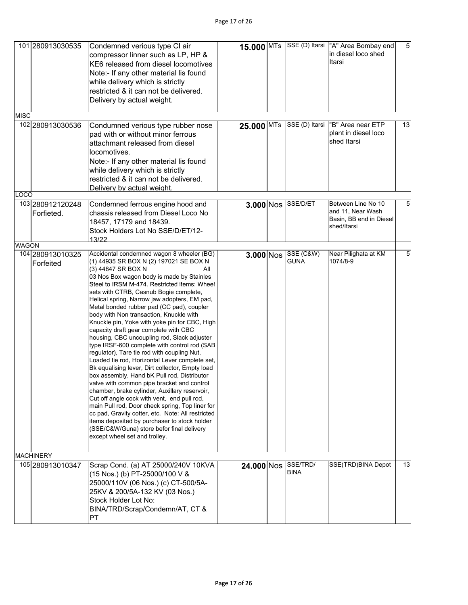|              | 101 280913030535               | Condemned verious type CI air<br>compressor linner such as LP, HP &<br>KE6 released from diesel locomotives<br>Note:- If any other material lis found<br>while delivery which is strictly<br>restricted & it can not be delivered.<br>Delivery by actual weight.                                                                                                                                                                                                                                                                                                                                                                                                                                                                                                                                                                                                                                                                                                                                                                                                                                                                   |            |                                    | 15.000 MTs SSE (D) Itarsi  "A" Area Bombay end<br>in diesel loco shed<br>Itarsi   | $\overline{5}$ |
|--------------|--------------------------------|------------------------------------------------------------------------------------------------------------------------------------------------------------------------------------------------------------------------------------------------------------------------------------------------------------------------------------------------------------------------------------------------------------------------------------------------------------------------------------------------------------------------------------------------------------------------------------------------------------------------------------------------------------------------------------------------------------------------------------------------------------------------------------------------------------------------------------------------------------------------------------------------------------------------------------------------------------------------------------------------------------------------------------------------------------------------------------------------------------------------------------|------------|------------------------------------|-----------------------------------------------------------------------------------|----------------|
| <b>MISC</b>  |                                |                                                                                                                                                                                                                                                                                                                                                                                                                                                                                                                                                                                                                                                                                                                                                                                                                                                                                                                                                                                                                                                                                                                                    |            |                                    |                                                                                   |                |
|              | 102 280913030536               | Condumned verious type rubber nose<br>pad with or without minor ferrous<br>attachmant released from diesel<br>locomotives.<br>Note:- If any other material lis found<br>while delivery which is strictly<br>restricted & it can not be delivered.<br>Delivery by actual weight.                                                                                                                                                                                                                                                                                                                                                                                                                                                                                                                                                                                                                                                                                                                                                                                                                                                    | 25.000 MTs |                                    | SSE (D) Itarsi "B" Area near ETP<br>plant in diesel loco<br>shed Itarsi           | 13             |
| <b>LOCO</b>  |                                |                                                                                                                                                                                                                                                                                                                                                                                                                                                                                                                                                                                                                                                                                                                                                                                                                                                                                                                                                                                                                                                                                                                                    |            |                                    |                                                                                   |                |
| <b>WAGON</b> | 103 280912120248<br>Forfieted. | Condemned ferrous engine hood and<br>chassis released from Diesel Loco No<br>18457, 17179 and 18439.<br>Stock Holders Lot No SSE/D/ET/12-<br>13/22                                                                                                                                                                                                                                                                                                                                                                                                                                                                                                                                                                                                                                                                                                                                                                                                                                                                                                                                                                                 |            | 3.000 Nos SSE/D/ET                 | Between Line No 10<br>and 11, Near Wash<br>Basin, BB end in Diesel<br>shed/Itarsi | 5 <sub>5</sub> |
|              | 104 280913010325               | Accidental condemned wagon 8 wheeler (BG)                                                                                                                                                                                                                                                                                                                                                                                                                                                                                                                                                                                                                                                                                                                                                                                                                                                                                                                                                                                                                                                                                          |            | $3.000 \text{ Nos}$ SSE (C&W)      | Near Pilighata at KM                                                              | 5              |
|              | Forfeited                      | (1) 44935 SR BOX N (2) 197021 SE BOX N<br>(3) 44847 SR BOX N<br>aii<br>03 Nos Box wagon body is made by Stainles<br>Steel to IRSM M-474. Restricted items: Wheel<br>sets with CTRB, Casnub Bogie complete,<br>Helical spring, Narrow jaw adopters, EM pad,<br>Metal bonded rubber pad (CC pad), coupler<br>body with Non transaction, Knuckle with<br>Knuckle pin, Yoke with yoke pin for CBC, High<br>capacity draft gear complete with CBC<br>housing, CBC uncoupling rod, Slack adjuster<br>type IRSF-600 complete with control rod (SAB<br>regulator), Tare tie rod with coupling Nut,<br>Loaded tie rod, Horizontal Lever complete set,<br>Bk equalising lever, Dirt collector, Empty load<br>box assembly, Hand bK Pull rod, Distributor<br>valve with common pipe bracket and control<br>chamber, brake cylinder, Auxillary reservoir,<br>Cut off angle cock with vent, end pull rod,<br>main Pull rod, Door check spring, Top liner for<br>cc pad, Gravity cotter, etc. Note: All restricted<br>items deposited by purchaser to stock holder<br>(SSE/C&W/Guna) store befor final delivery<br>except wheel set and trolley. |            | <b>GUNA</b>                        | 1074/8-9                                                                          |                |
|              | <b>MACHINERY</b>               |                                                                                                                                                                                                                                                                                                                                                                                                                                                                                                                                                                                                                                                                                                                                                                                                                                                                                                                                                                                                                                                                                                                                    |            |                                    |                                                                                   |                |
|              | 105 280913010347               | Scrap Cond. (a) AT 25000/240V 10KVA<br>(15 Nos.) (b) PT-25000/100 V &<br>25000/110V (06 Nos.) (c) CT-500/5A-<br>25KV & 200/5A-132 KV (03 Nos.)<br>Stock Holder Lot No:<br>BINA/TRD/Scrap/Condemn/AT, CT &<br>PT                                                                                                                                                                                                                                                                                                                                                                                                                                                                                                                                                                                                                                                                                                                                                                                                                                                                                                                    |            | 24.000 Nos SSE/TRD/<br><b>BINA</b> | SSE(TRD)BINA Depot                                                                | 13             |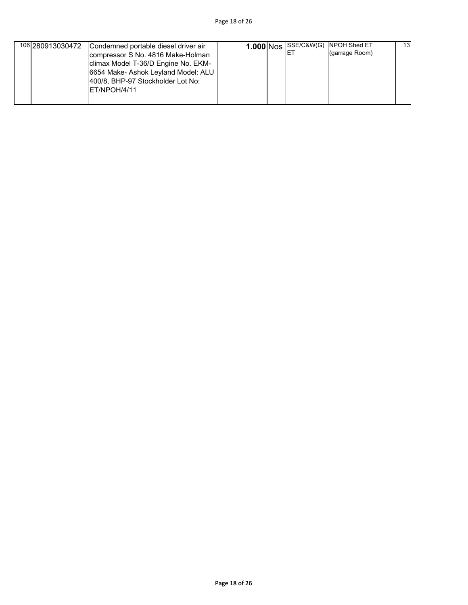| 106 280913030472 | Condemned portable diesel driver air<br>compressor S No. 4816 Make-Holman<br>climax Model T-36/D Engine No. EKM-<br>6654 Make- Ashok Leyland Model: ALU<br>400/8, BHP-97 Stockholder Lot No:<br>ET/NPOH/4/11 |  | 1.000 Nos SSE/C&W(G) NPOH Shed ET<br>(garrage Room) | 13 <sup>1</sup> |
|------------------|--------------------------------------------------------------------------------------------------------------------------------------------------------------------------------------------------------------|--|-----------------------------------------------------|-----------------|
|                  |                                                                                                                                                                                                              |  |                                                     |                 |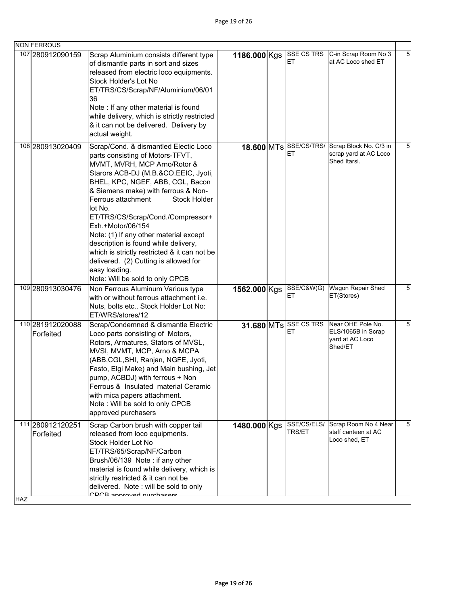| <b>NON FERROUS</b>                          |                                                                                                                                                                                                                                                                                                                                                                                                                                                                                                                                                                               |              |                              |                                                                                        |                |
|---------------------------------------------|-------------------------------------------------------------------------------------------------------------------------------------------------------------------------------------------------------------------------------------------------------------------------------------------------------------------------------------------------------------------------------------------------------------------------------------------------------------------------------------------------------------------------------------------------------------------------------|--------------|------------------------------|----------------------------------------------------------------------------------------|----------------|
| 107 280912090159                            | Scrap Aluminium consists different type<br>of dismantle parts in sort and sizes<br>released from electric loco equipments.<br>Stock Holder's Lot No<br>ET/TRS/CS/Scrap/NF/Aluminium/06/01<br>36<br>Note : If any other material is found<br>while delivery, which is strictly restricted<br>& it can not be delivered. Delivery by<br>actual weight.                                                                                                                                                                                                                          | 1186.000 Kgs | <b>SSE CS TRS</b><br>ET      | C-in Scrap Room No 3<br>at AC Loco shed ET                                             | 5 <sub>5</sub> |
| 108 280913020409                            | Scrap/Cond. & dismantled Electic Loco<br>parts consisting of Motors-TFVT,<br>MVMT, MVRH, MCP Arno/Rotor &<br>Starors ACB-DJ (M.B.&CO.EEIC, Jyoti,<br>BHEL, KPC, NGEF, ABB, CGL, Bacon<br>& Siemens make) with ferrous & Non-<br>Ferrous attachment<br><b>Stock Holder</b><br>lot No.<br>ET/TRS/CS/Scrap/Cond./Compressor+<br>Exh.+Motor/06/154<br>Note: (1) If any other material except<br>description is found while delivery,<br>which is strictly restricted & it can not be<br>delivered. (2) Cutting is allowed for<br>easy loading.<br>Note: Will be sold to only CPCB |              | ET                           | 18.600 MTs SSE/CS/TRS/ Scrap Block No. C/3 in<br>scrap yard at AC Loco<br>Shed Itarsi. | 5              |
| 109 280913030476                            | Non Ferrous Aluminum Various type<br>with or without ferrous attachment i.e.<br>Nuts, bolts etc Stock Holder Lot No:<br>ET/WRS/stores/12                                                                                                                                                                                                                                                                                                                                                                                                                                      | 1562.000 Kgs | SSE/C&W(G)<br>ET             | Wagon Repair Shed<br>ET(Stores)                                                        | 5              |
| 110 281912020088<br>Forfeited               | Scrap/Condemned & dismantle Electric<br>Loco parts consisting of Motors,<br>Rotors, Armatures, Stators of MVSL,<br>MVSI, MVMT, MCP, Arno & MCPA<br>(ABB, CGL, SHI, Ranjan, NGFE, Jyoti,<br>Fasto, Elgi Make) and Main bushing, Jet<br>pump, ACBDJ) with ferrous + Non<br>Ferrous & Insulated material Ceramic<br>with mica papers attachment.<br>Note: Will be sold to only CPCB<br>approved purchasers                                                                                                                                                                       |              | 31.680 MTs SSE CS TRS<br>ET  | Near OHE Pole No.<br>ELS/1065B in Scrap<br>yard at AC Loco<br>Shed/ET                  | 5 <sub>5</sub> |
| 111 280912120251<br>Forfeited<br><b>HAZ</b> | Scrap Carbon brush with copper tail<br>released from loco equipments.<br>Stock Holder Lot No<br>ET/TRS/65/Scrap/NF/Carbon<br>Brush/06/139 Note: if any other<br>material is found while delivery, which is<br>strictly restricted & it can not be<br>delivered. Note: will be sold to only<br>CDCR approved purchasers                                                                                                                                                                                                                                                        | 1480.000 Kgs | SSE/CS/ELS/<br><b>TRS/ET</b> | Scrap Room No 4 Near<br>staff canteen at AC<br>Loco shed, ET                           | 5              |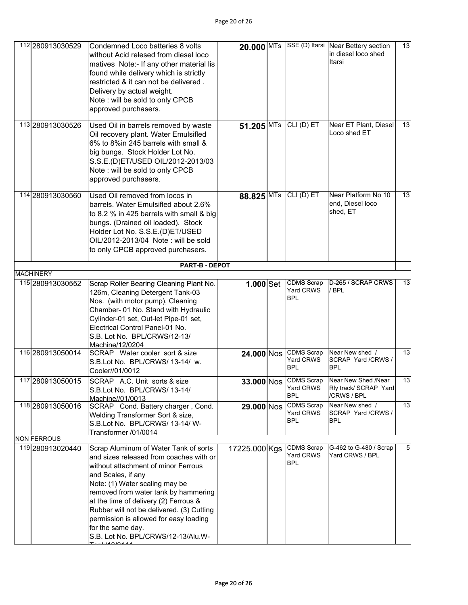| 112 280913030529                       | Condemned Loco batteries 8 volts<br>without Acid relesed from diesel loco<br>matives Note:- If any other material lis<br>found while delivery which is strictly<br>restricted & it can not be delivered.<br>Delivery by actual weight.<br>Note: will be sold to only CPCB<br>approved purchasers.                                                                                                                  |               |                                              | 20.000 MTs SSE (D) Itarsi Near Bettery section<br>in diesel loco shed<br>Itarsi   | 13 |
|----------------------------------------|--------------------------------------------------------------------------------------------------------------------------------------------------------------------------------------------------------------------------------------------------------------------------------------------------------------------------------------------------------------------------------------------------------------------|---------------|----------------------------------------------|-----------------------------------------------------------------------------------|----|
| 113 280913030526                       | Used Oil in barrels removed by waste<br>Oil recovery plant. Water Emulsifled<br>6% to 8%in 245 barrels with small &<br>big bungs. Stock Holder Lot No.<br>S.S.E.(D)ET/USED OIL/2012-2013/03<br>Note: will be sold to only CPCB<br>approved purchasers.                                                                                                                                                             | $51.205$ MTs  | CLI(D) ET                                    | Near ET Plant, Diesel<br>Loco shed ET                                             | 13 |
| 114 280913030560                       | Used Oil removed from locos in<br>barrels. Water Emulsifled about 2.6%<br>to 8.2 % in 425 barrels with small & big<br>bungs. (Drained oil loaded). Stock<br>Holder Lot No. S.S.E.(D)ET/USED<br>OIL/2012-2013/04 Note: will be sold<br>to only CPCB approved purchasers.                                                                                                                                            | $88.825$ MTs  | CLI(D) ET                                    | Near Platform No 10<br>end, Diesel loco<br>shed, ET                               | 13 |
|                                        | <b>PART-B - DEPOT</b>                                                                                                                                                                                                                                                                                                                                                                                              |               |                                              |                                                                                   |    |
| <b>MACHINERY</b>                       |                                                                                                                                                                                                                                                                                                                                                                                                                    |               |                                              | D-265 / SCRAP CRWS                                                                | 13 |
| 115 280913030552                       | Scrap Roller Bearing Cleaning Plant No.<br>126m, Cleaning Detergent Tank-03<br>Nos. (with motor pump), Cleaning<br>Chamber- 01 No. Stand with Hydraulic<br>Cylinder-01 set, Out-let Pipe-01 set,<br>Electrical Control Panel-01 No.<br>S.B. Lot No. BPL/CRWS/12-13/<br>Machine/12/0204                                                                                                                             | $1.000$ Set   | <b>CDMS Scrap</b><br>Yard CRWS<br><b>BPL</b> | /BPL                                                                              |    |
| 116 280913050014                       | SCRAP Water cooler sort & size<br>S.B.Lot No. BPL/CRWS/ 13-14/ w.<br>Cooler//01/0012                                                                                                                                                                                                                                                                                                                               | 24.000 Nos    | <b>CDMS</b> Scrap<br>Yard CRWS<br><b>BPL</b> | Near New shed /<br>SCRAP Yard /CRWS /<br><b>BPL</b>                               | 13 |
| 117 280913050015                       | SCRAP A.C. Unit sorts & size<br>S.B.Lot No. BPL/CRWS/ 13-14/<br>Machine//01/0013                                                                                                                                                                                                                                                                                                                                   |               | <b>Yard CRWS</b><br><b>BPL</b>               | 33.000 Nos CDMS Scrap Near New Shed /Near<br>Rly track/ SCRAP Yard<br>/CRWS / BPL | 13 |
| 118 280913050016                       | SCRAP Cond. Battery charger, Cond.<br>Welding Transformer Sort & size,<br>S.B.Lot No. BPL/CRWS/ 13-14/ W-<br>Transformer /01/0014                                                                                                                                                                                                                                                                                  | 29.000 Nos    | CDMS Scrap<br><b>Yard CRWS</b><br><b>BPL</b> | Near New shed /<br>SCRAP Yard /CRWS /<br><b>BPL</b>                               | 13 |
| <b>NON FERROUS</b><br>119 280913020440 |                                                                                                                                                                                                                                                                                                                                                                                                                    |               | <b>CDMS</b> Scrap                            | G-462 to G-480 / Scrap                                                            | 5  |
|                                        | Scrap Aluminum of Water Tank of sorts<br>and sizes released from coaches with or<br>without attachment of minor Ferrous<br>and Scales, if any<br>Note: (1) Water scaling may be<br>removed from water tank by hammering<br>at the time of delivery (2) Ferrous &<br>Rubber will not be delivered. (3) Cutting<br>permission is allowed for easy loading<br>for the same day.<br>S.B. Lot No. BPL/CRWS/12-13/Alu.W- | 17225.000 Kgs | Yard CRWS<br><b>BPL</b>                      | Yard CRWS / BPL                                                                   |    |

Tank/10/0144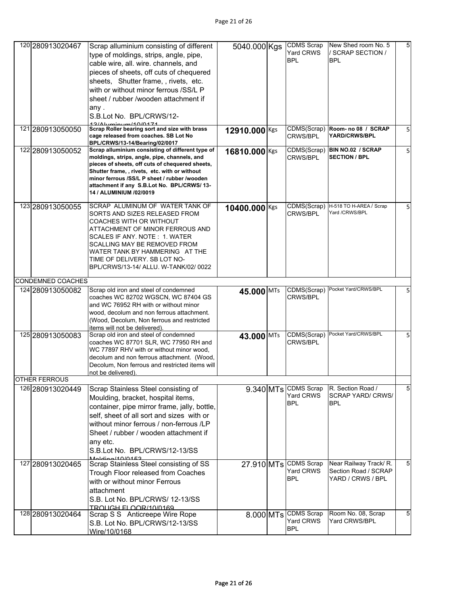| 120 280913020467         | Scrap alluminium consisting of different<br>type of moldings, strips, angle, pipe,<br>cable wire, all. wire. channels, and<br>pieces of sheets, off cuts of chequered<br>sheets, Shutter frame, , rivets, etc.<br>with or without minor ferrous /SS/L P<br>sheet / rubber /wooden attachment if<br>any.<br>S.B.Lot No. BPL/CRWS/12-<br>$1911$ uminum $140/0474$ | 5040.000 Kgs  | <b>CDMS Scrap</b><br><b>Yard CRWS</b><br><b>BPL</b>    | New Shed room No. 5<br>/ SCRAP SECTION /<br><b>BPL</b>             | 5 |
|--------------------------|-----------------------------------------------------------------------------------------------------------------------------------------------------------------------------------------------------------------------------------------------------------------------------------------------------------------------------------------------------------------|---------------|--------------------------------------------------------|--------------------------------------------------------------------|---|
| 121 280913050050         | Scrap Roller bearing sort and size with brass<br>cage released from coaches. SB Lot No<br>BPL/CRWS/13-14/Bearing/02/0017                                                                                                                                                                                                                                        | 12910.000 Kgs | CDMS(Scrap)<br><b>CRWS/BPL</b>                         | Room- no 08 / SCRAP<br><b>YARD/CRWS/BPL</b>                        | 5 |
| 122 280913050052         | Scrap alluminium consisting of different type of<br>moldings, strips, angle, pipe, channels, and<br>pieces of sheets, off cuts of chequered sheets,<br>Shutter frame, , rivets, etc. with or without<br>minor ferrous /SS/L P sheet / rubber /wooden<br>attachment if any S.B.Lot No. BPL/CRWS/13-<br>14 / ALUMINIUM /02/0019                                   | 16810.000 Kgs | <b>CRWS/BPL</b>                                        | CDMS(Scrap) BIN NO.02 / SCRAP<br><b>SECTION / BPL</b>              | 5 |
| 123 280913050055         | SCRAP ALUMINUM OF WATER TANK OF<br>SORTS AND SIZES RELEASED FROM<br>COACHES WITH OR WITHOUT<br>ATTACHMENT OF MINOR FERROUS AND<br>SCALES IF ANY. NOTE: 1. WATER<br>SCALLING MAY BE REMOVED FROM<br>WATER TANK BY HAMMERING AT THE<br>TIME OF DELIVERY. SB LOT NO-<br>BPL/CRWS/13-14/ ALLU. W-TANK/02/ 0022                                                      | 10400.000 Kgs | CDMS(Scrap)<br><b>CRWS/BPL</b>                         | H-518 TO H-AREA / Scrap<br>Yard /CRWS/BPL                          | 5 |
| <b>CONDEMNED COACHES</b> |                                                                                                                                                                                                                                                                                                                                                                 |               |                                                        |                                                                    |   |
| 124 280913050082         | Scrap old iron and steel of condemned<br>coaches WC 82702 WGSCN, WC 87404 GS<br>and WC 76952 RH with or without minor<br>wood, decolum and non ferrous attachment.<br>(Wood, Decolum, Non ferrous and restricted<br>items will not be delivered).                                                                                                               | 45.000 MTs    | CDMS(Scrap)<br><b>CRWS/BPL</b>                         | Pocket Yard/CRWS/BPL                                               | 5 |
| 125 280913050083         | Scrap old iron and steel of condemned<br>coaches WC 87701 SLR, WC 77950 RH and<br>WC 77897 RHV with or without minor wood,<br>decolum and non ferrous attachment. (Wood,<br>Decolum, Non ferrous and restricted items will<br>not be delivered).                                                                                                                | 43.000 MTs    | CDMS(Scrap)<br>CRWS/BPL                                | Pocket Yard/CRWS/BPL                                               | 5 |
| <b>OTHER FERROUS</b>     |                                                                                                                                                                                                                                                                                                                                                                 |               |                                                        |                                                                    |   |
| 126 280913020449         | Scrap Stainless Steel consisting of<br>Moulding, bracket, hospital items,<br>container, pipe mirror frame, jally, bottle,<br>self, sheet of all sort and sizes with or<br>without minor ferrous / non-ferrous /LP<br>Sheet / rubber / wooden attachment if<br>any etc.<br>S.B.Lot No. BPL/CRWS/12-13/SS                                                         |               | 9.340 MTs CDMS Scrap<br><b>Yard CRWS</b><br><b>BPL</b> | R. Section Road /<br><b>SCRAP YARD/ CRWS/</b><br><b>BPL</b>        | 5 |
| 127 280913020465         | Molding/10/0153<br>Scrap Stainless Steel consisting of SS<br>Trough Floor released from Coaches<br>with or without minor Ferrous<br>attachment<br>S.B. Lot No. BPL/CRWS/ 12-13/SS<br>TROLIGH ELOOR/10/0169                                                                                                                                                      | 27.910 MTs    | <b>CDMS</b> Scrap<br>Yard CRWS<br><b>BPL</b>           | Near Railway Track/R.<br>Section Road / SCRAP<br>YARD / CRWS / BPL | 5 |
| 128 280913020464         | Scrap S S Anticreepe Wire Rope<br>S.B. Lot No. BPL/CRWS/12-13/SS<br>Wire/10/0168                                                                                                                                                                                                                                                                                |               | 8.000 MTs CDMS Scrap<br><b>Yard CRWS</b><br><b>BPL</b> | Room No. 08, Scrap<br>Yard CRWS/BPL                                | 5 |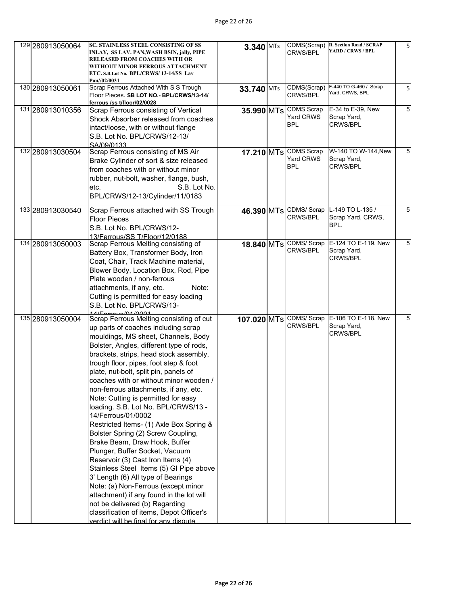| 129 280913050064<br>130 280913050061 | <b>SC. STAINLESS STEEL CONSISTING OF SS</b><br>INLAY, SS LAV. PAN, WASH BSIN, jally, PIPE<br>RELEASED FROM COACHES WITH OR<br>WITHOUT MINOR FERROUS ATTACHMENT<br>ETC. S.B.Lot No. BPL/CRWS/13-14/SS Lav<br>Pan//02/0031<br>Scrap Ferrous Attached With S S Trough<br>Floor Pieces. SB LOT NO.- BPL/CRWS/13-14/                                                                                                                                                                                                                                                                                                                                                                                                                                                                                                                                                                                                                                                           | $3.340$ MTs<br>33.740 MTs | CDMS(Scrap)<br><b>CRWS/BPL</b><br>CDMS(Scrap)<br>CRWS/BPL | R. Section Road / SCRAP<br>YARD / CRWS / BPL<br>F-440 TO G-460 / Scrap<br>Yard, CRWS, BPL | 5 <sup>1</sup><br>5 |
|--------------------------------------|---------------------------------------------------------------------------------------------------------------------------------------------------------------------------------------------------------------------------------------------------------------------------------------------------------------------------------------------------------------------------------------------------------------------------------------------------------------------------------------------------------------------------------------------------------------------------------------------------------------------------------------------------------------------------------------------------------------------------------------------------------------------------------------------------------------------------------------------------------------------------------------------------------------------------------------------------------------------------|---------------------------|-----------------------------------------------------------|-------------------------------------------------------------------------------------------|---------------------|
| 131 280913010356                     | ferrous /ss t/floor/02/0028<br>Scrap Ferrous consisting of Vertical<br>Shock Absorber released from coaches<br>intact/loose, with or without flange<br>S.B. Lot No. BPL/CRWS/12-13/<br>SA/09/0133                                                                                                                                                                                                                                                                                                                                                                                                                                                                                                                                                                                                                                                                                                                                                                         | 35.990 MTs                | <b>CDMS Scrap</b><br>Yard CRWS<br><b>BPL</b>              | E-34 to E-39, New<br>Scrap Yard,<br>CRWS/BPL                                              | 5 <sub>5</sub>      |
| 132 280913030504                     | Scrap Ferrous consisting of MS Air<br>Brake Cylinder of sort & size released<br>from coaches with or without minor<br>rubber, nut-bolt, washer, flange, bush,<br>S.B. Lot No.<br>etc.<br>BPL/CRWS/12-13/Cylinder/11/0183                                                                                                                                                                                                                                                                                                                                                                                                                                                                                                                                                                                                                                                                                                                                                  |                           | 17.210 MTs CDMS Scrap<br>Yard CRWS<br><b>BPL</b>          | W-140 TO W-144, New<br>Scrap Yard,<br><b>CRWS/BPL</b>                                     | 5 <sub>5</sub>      |
| 133 280913030540                     | Scrap Ferrous attached with SS Trough<br><b>Floor Pieces</b><br>S.B. Lot No. BPL/CRWS/12-<br>13/Ferrous/SS T/Floor/12/0188                                                                                                                                                                                                                                                                                                                                                                                                                                                                                                                                                                                                                                                                                                                                                                                                                                                | 46.390 MTs                | CDMS/Scrap<br>CRWS/BPL                                    | L-149 TO L-135 /<br>Scrap Yard, CRWS,<br>BPL.                                             | 5                   |
| 134 280913050003                     | Scrap Ferrous Melting consisting of<br>Battery Box, Transformer Body, Iron<br>Coat, Chair, Track Machine material,<br>Blower Body, Location Box, Rod, Pipe<br>Plate wooden / non-ferrous<br>Note:<br>attachments, if any, etc.<br>Cutting is permitted for easy loading<br>S.B. Lot No. BPL/CRWS/13-<br>14/Earraug/01/0001                                                                                                                                                                                                                                                                                                                                                                                                                                                                                                                                                                                                                                                |                           | 18.840 MTs CDMS/ Scrap<br><b>CRWS/BPL</b>                 | E-124 TO E-119, New<br>Scrap Yard,<br><b>CRWS/BPL</b>                                     | 5 <sub>5</sub>      |
| 135 280913050004                     | Scrap Ferrous Melting consisting of cut<br>up parts of coaches including scrap<br>mouldings, MS sheet, Channels, Body<br>Bolster, Angles, different type of rods,<br>brackets, strips, head stock assembly,<br>trough floor, pipes, foot step & foot<br>plate, nut-bolt, split pin, panels of<br>coaches with or without minor wooden /<br>non-ferrous attachments, if any, etc.<br>Note: Cutting is permitted for easy<br>loading. S.B. Lot No. BPL/CRWS/13 -<br>14/Ferrous/01/0002<br>Restricted Items- (1) Axle Box Spring &<br>Bolster Spring (2) Screw Coupling,<br>Brake Beam, Draw Hook, Buffer<br>Plunger, Buffer Socket, Vacuum<br>Reservoir (3) Cast Iron Items (4)<br>Stainless Steel Items (5) GI Pipe above<br>3' Length (6) All type of Bearings<br>Note: (a) Non-Ferrous (except minor<br>attachment) if any found in the lot will<br>not be delivered (b) Regarding<br>classification of items, Depot Officer's<br>verdict will be final for any dispute. | 107.020 MTs               | CDMS/Scrap<br><b>CRWS/BPL</b>                             | E-106 TO E-118, New<br>Scrap Yard,<br>CRWS/BPL                                            | 5                   |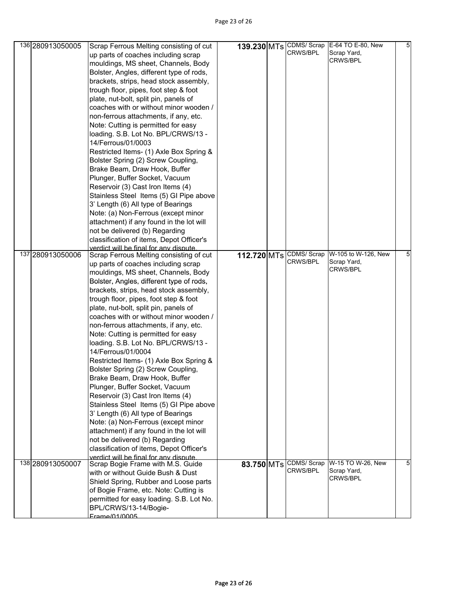| 136 280913050005 | Scrap Ferrous Melting consisting of cut<br>up parts of coaches including scrap<br>mouldings, MS sheet, Channels, Body<br>Bolster, Angles, different type of rods,<br>brackets, strips, head stock assembly,<br>trough floor, pipes, foot step & foot                                                                                                                                                                                                                              |  | <b>CRWS/BPL</b>                    | 139.230 MTs CDMS/ Scrap E-64 TO E-80, New<br>Scrap Yard,<br><b>CRWS/BPL</b> | 5 |
|------------------|-----------------------------------------------------------------------------------------------------------------------------------------------------------------------------------------------------------------------------------------------------------------------------------------------------------------------------------------------------------------------------------------------------------------------------------------------------------------------------------|--|------------------------------------|-----------------------------------------------------------------------------|---|
|                  | plate, nut-bolt, split pin, panels of<br>coaches with or without minor wooden /<br>non-ferrous attachments, if any, etc.<br>Note: Cutting is permitted for easy<br>loading. S.B. Lot No. BPL/CRWS/13 -                                                                                                                                                                                                                                                                            |  |                                    |                                                                             |   |
|                  | 14/Ferrous/01/0003<br>Restricted Items- (1) Axle Box Spring &<br>Bolster Spring (2) Screw Coupling,<br>Brake Beam, Draw Hook, Buffer<br>Plunger, Buffer Socket, Vacuum<br>Reservoir (3) Cast Iron Items (4)                                                                                                                                                                                                                                                                       |  |                                    |                                                                             |   |
|                  | Stainless Steel Items (5) GI Pipe above<br>3' Length (6) All type of Bearings<br>Note: (a) Non-Ferrous (except minor<br>attachment) if any found in the lot will<br>not be delivered (b) Regarding                                                                                                                                                                                                                                                                                |  |                                    |                                                                             |   |
|                  | classification of items, Depot Officer's<br>verdict will be final for any dispute.                                                                                                                                                                                                                                                                                                                                                                                                |  |                                    |                                                                             |   |
|                  | up parts of coaches including scrap<br>mouldings, MS sheet, Channels, Body<br>Bolster, Angles, different type of rods,<br>brackets, strips, head stock assembly,<br>trough floor, pipes, foot step & foot<br>plate, nut-bolt, split pin, panels of<br>coaches with or without minor wooden /<br>non-ferrous attachments, if any, etc.<br>Note: Cutting is permitted for easy<br>loading. S.B. Lot No. BPL/CRWS/13 -<br>14/Ferrous/01/0004                                         |  | <b>CRWS/BPL</b>                    | Scrap Yard,<br><b>CRWS/BPL</b>                                              |   |
|                  | Restricted Items- (1) Axle Box Spring &<br>Bolster Spring (2) Screw Coupling,<br>Brake Beam, Draw Hook, Buffer<br>Plunger, Buffer Socket, Vacuum<br>Reservoir (3) Cast Iron Items (4)<br>Stainless Steel Items (5) GI Pipe above<br>3' Length (6) All type of Bearings<br>Note: (a) Non-Ferrous (except minor<br>attachment) if any found in the lot will<br>not be delivered (b) Regarding<br>classification of items, Depot Officer's<br>verdict will be final for any dispute. |  |                                    |                                                                             |   |
| 138 280913050007 | Scrap Bogie Frame with M.S. Guide<br>with or without Guide Bush & Dust<br>Shield Spring, Rubber and Loose parts<br>of Bogie Frame, etc. Note: Cutting is<br>permitted for easy loading. S.B. Lot No.<br>BPL/CRWS/13-14/Bogie-<br>Frame/01/0005                                                                                                                                                                                                                                    |  | 83.750 MTs CDMS/ Scrap<br>CRWS/BPL | W-15 TO W-26, New<br>Scrap Yard,<br><b>CRWS/BPL</b>                         | 5 |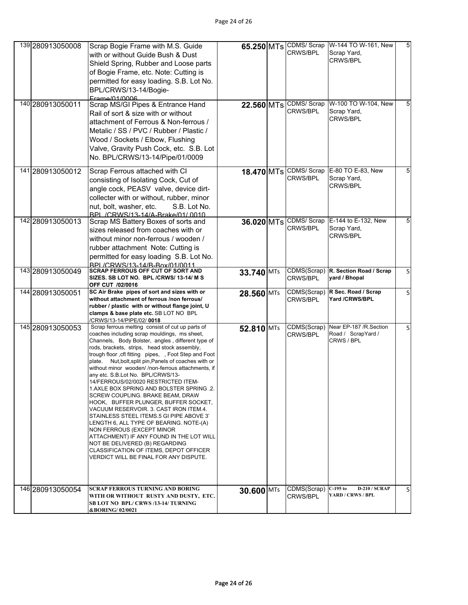| 139 280913050008 | Scrap Bogie Frame with M.S. Guide<br>with or without Guide Bush & Dust<br>Shield Spring, Rubber and Loose parts<br>of Bogie Frame, etc. Note: Cutting is<br>permitted for easy loading. S.B. Lot No.<br>BPL/CRWS/13-14/Bogie-<br>Frame/01/0006                                                                                                                                                                                                                                                                                                                                                                                                                                                                                                                                                                                                                                                                     |            | CRWS/BPL                       | 65.250 MTs CDMS/ Scrap W-144 TO W-161, New<br>Scrap Yard,<br><b>CRWS/BPL</b> | 5              |
|------------------|--------------------------------------------------------------------------------------------------------------------------------------------------------------------------------------------------------------------------------------------------------------------------------------------------------------------------------------------------------------------------------------------------------------------------------------------------------------------------------------------------------------------------------------------------------------------------------------------------------------------------------------------------------------------------------------------------------------------------------------------------------------------------------------------------------------------------------------------------------------------------------------------------------------------|------------|--------------------------------|------------------------------------------------------------------------------|----------------|
| 140 280913050011 | Scrap MS/GI Pipes & Entrance Hand<br>Rail of sort & size with or without<br>attachment of Ferrous & Non-ferrous /<br>Metalic / SS / PVC / Rubber / Plastic /<br>Wood / Sockets / Elbow, Flushing<br>Valve, Gravity Push Cock, etc. S.B. Lot<br>No. BPL/CRWS/13-14/Pipe/01/0009                                                                                                                                                                                                                                                                                                                                                                                                                                                                                                                                                                                                                                     |            | CRWS/BPL                       | 22.560 MTs CDMS/ Scrap W-100 TO W-104, New<br>Scrap Yard,<br><b>CRWS/BPL</b> | 5              |
| 141 280913050012 | Scrap Ferrous attached with CI<br>consisting of Isolating Cock, Cut of<br>angle cock, PEASV valve, device dirt-<br>collecter with or without, rubber, minor<br>nut, bolt, washer, etc.<br>S.B. Lot No.<br>RPL /CRWS/13-14/A-Rrake/01/0010                                                                                                                                                                                                                                                                                                                                                                                                                                                                                                                                                                                                                                                                          |            | <b>CRWS/BPL</b>                | 18.470 MTs CDMS/ Scrap E-80 TO E-83, New<br>Scrap Yard,<br><b>CRWS/BPL</b>   | 5              |
| 142 280913050013 | Scrap MS Battery Boxes of sorts and<br>sizes released from coaches with or<br>without minor non-ferrous / wooden /<br>rubber attachment Note: Cutting is<br>permitted for easy loading S.B. Lot No.<br>RPL/CRWS/13-14/R-Rox/01/0011                                                                                                                                                                                                                                                                                                                                                                                                                                                                                                                                                                                                                                                                                |            | <b>CRWS/BPL</b>                | 36.020 MTs CDMS/ Scrap E-144 to E-132, New<br>Scrap Yard,<br><b>CRWS/BPL</b> | 5              |
| 143 280913050049 | <b>SCRAP FERROUS OFF CUT OF SORT AND</b><br>SIZES. SB LOT NO. BPL /CRWS/ 13-14/ M S<br>OFF CUT /02/0016                                                                                                                                                                                                                                                                                                                                                                                                                                                                                                                                                                                                                                                                                                                                                                                                            | 33.740 MTs | CDMS(Scrap)<br>CRWS/BPL        | R. Section Road / Scrap<br>yard / Bhopal                                     | 5              |
| 144 280913050051 | SC Air Brake pipes of sort and sizes with or<br>without attachment of ferrous /non ferrous/<br>rubber / plastic with or without flange joint, U<br>clamps & base plate etc. SB LOT NO BPL<br>/CRWS/13-14/PIPE/02/ 0018                                                                                                                                                                                                                                                                                                                                                                                                                                                                                                                                                                                                                                                                                             | 28.560 MTs | CDMS(Scrap)<br><b>CRWS/BPL</b> | R Sec. Road / Scrap<br>Yard /CRWS/BPL                                        | 5              |
| 145 280913050053 | Scrap ferrous melting consist of cut up parts of<br>coaches including scrap mouldings, ms sheet,<br>Channels, Body Bolster, angles, different type of<br>rods, brackets, strips, head stock assembly,<br>trough floor, cfl fitting pipes, , Foot Step and Foot<br>plate. Nut, bolt, split pin, Panels of coaches with or<br>without minor wooden//non-ferrous attachments, if<br>any etc. S.B.Lot No. BPL/CRWS/13-<br>14/FERROUS/02/0020 RESTRICTED ITEM-<br>1. AXLE BOX SPRING AND BOLSTER SPRING .2.<br>SCREW COUPLING. BRAKE BEAM, DRAW<br>HOOK, BUFFER PLUNGER, BUFFER SOCKET,<br>VACUUM RESERVOIR. 3. CAST IRON ITEM.4.<br>STAINLESS STEEL ITEMS.5 GI PIPE ABOVE 3'<br>LENGTH 6, ALL TYPE OF BEARING. NOTE-(A)<br>NON FERROUS (EXCEPT MINOR<br>ATTACHMENT) IF ANY FOUND IN THE LOT WILL<br>NOT BE DELIVERED (B) REGARDING<br>CLASSIFICATION OF ITEMS, DEPOT OFFICER<br>VERDICT WILL BE FINAL FOR ANY DISPUTE. | 52.810 MTs | CDMS(Scrap)<br><b>CRWS/BPL</b> | Near EP-187 /R.Section<br>Road / ScrapYard /<br>CRWS / BPL                   | 5              |
| 146 280913050054 | <b>SCRAP FERROUS TURNING AND BORING</b><br>WITH OR WITHOUT RUSTY AND DUSTY, ETC.<br>SB LOT NO BPL/CRWS/13-14/TURNING<br><b>&amp;BORING/02/0021</b>                                                                                                                                                                                                                                                                                                                                                                                                                                                                                                                                                                                                                                                                                                                                                                 | 30.600 MTs | CDMS(Scrap)<br><b>CRWS/BPL</b> | $C-195$ to<br><b>D-210 / SCRAP</b><br>YARD / CRWS / BPL                      | 5 <sup>1</sup> |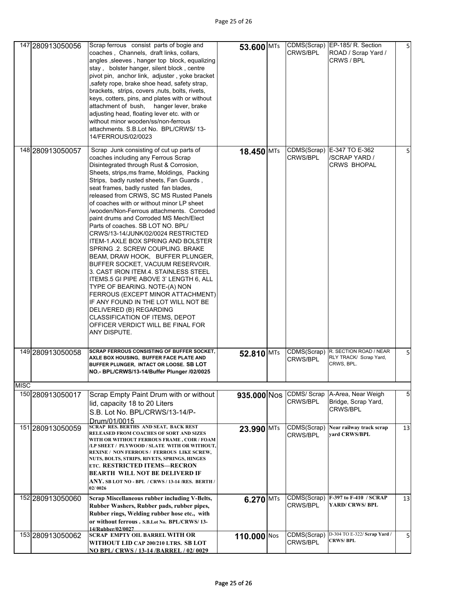|             | 147 280913050056 | Scrap ferrous consist parts of bogie and<br>coaches, Channels, draft links, collars,<br>angles sleeves, hanger top block, equalizing<br>stay, bolster hanger, silent block, centre<br>pivot pin, anchor link, adjuster, yoke bracket<br>safety rope, brake shoe head, safety strap,<br>brackets, strips, covers, nuts, bolts, rivets,<br>keys, cotters, pins, and plates with or without<br>attachment of bush, hanger lever, brake<br>adjusting head, floating lever etc. with or<br>without minor wooden/ss/non-ferrous<br>attachments. S.B.Lot No. BPL/CRWS/13-<br>14/FERROUS/02/0023                                                                                                                                                                                                                                                                                                                                                                                                    | 53.600 MTs  | CRWS/BPL                       | CDMS(Scrap) EP-185/ R. Section<br>ROAD / Scrap Yard /<br>CRWS / BPL                   | 5  |
|-------------|------------------|---------------------------------------------------------------------------------------------------------------------------------------------------------------------------------------------------------------------------------------------------------------------------------------------------------------------------------------------------------------------------------------------------------------------------------------------------------------------------------------------------------------------------------------------------------------------------------------------------------------------------------------------------------------------------------------------------------------------------------------------------------------------------------------------------------------------------------------------------------------------------------------------------------------------------------------------------------------------------------------------|-------------|--------------------------------|---------------------------------------------------------------------------------------|----|
|             | 148 280913050057 | Scrap Junk consisting of cut up parts of<br>coaches including any Ferrous Scrap<br>Disintegrated through Rust & Corrosion,<br>Sheets, strips, ms frame, Moldings, Packing<br>Strips, badly rusted sheets, Fan Guards,<br>seat frames, badly rusted fan blades,<br>released from CRWS, SC MS Rusted Panels<br>of coaches with or without minor LP sheet<br>/wooden/Non-Ferrous attachments. Corroded<br>paint drums and Corroded MS Mech/Elect<br>Parts of coaches. SB LOT NO. BPL/<br>CRWS/13-14/JUNK/02/0024 RESTRICTED<br>ITEM-1.AXLE BOX SPRING AND BOLSTER<br>SPRING .2. SCREW COUPLING. BRAKE<br>BEAM, DRAW HOOK, BUFFER PLUNGER,<br>BUFFER SOCKET, VACUUM RESERVOIR.<br>3. CAST IRON ITEM.4. STAINLESS STEEL<br>ITEMS 5 GI PIPE ABOVE 3' LENGTH 6, ALL<br>TYPE OF BEARING. NOTE-(A) NON<br>FERROUS (EXCEPT MINOR ATTACHMENT)<br>IF ANY FOUND IN THE LOT WILL NOT BE<br>DELIVERED (B) REGARDING<br>CLASSIFICATION OF ITEMS, DEPOT<br>OFFICER VERDICT WILL BE FINAL FOR<br>ANY DISPUTE. | 18.450 MTs  | <b>CRWS/BPL</b>                | CDMS(Scrap) E-347 TO E-362<br>/SCRAP YARD /<br><b>CRWS BHOPAL</b>                     | 5  |
|             | 149 280913050058 | <b>SCRAP FERROUS CONSISTING OF BUFFER SOCKET,</b><br>AXLE BOX HOUSING, BUFFER FACE PLATE AND<br>BUFFER PLUNGER, INTACT OR LOOSE. SB LOT<br>NO.- BPL/CRWS/13-14/Buffer Plunger /02/0025                                                                                                                                                                                                                                                                                                                                                                                                                                                                                                                                                                                                                                                                                                                                                                                                      | 52.810 MTs  | <b>CRWS/BPL</b>                | CDMS(Scrap) R. SECTION ROAD / NEAR<br>RLY TRACK/ Scrap Yard,<br>CRWS, BPL.            | 5  |
| <b>MISC</b> |                  |                                                                                                                                                                                                                                                                                                                                                                                                                                                                                                                                                                                                                                                                                                                                                                                                                                                                                                                                                                                             |             |                                |                                                                                       |    |
|             | 150 280913050017 | Scrap Empty Paint Drum with or without<br>lid, capacity 18 to 20 Liters<br>S.B. Lot No. BPL/CRWS/13-14/P-<br>Drum/01/0015                                                                                                                                                                                                                                                                                                                                                                                                                                                                                                                                                                                                                                                                                                                                                                                                                                                                   |             | CRWS/BPL                       | 935.000 Nos CDMS/Scrap   A-Area, Near Weigh<br>Bridge, Scrap Yard,<br><b>CRWS/BPL</b> | 5  |
|             | 151 280913050059 | SCRAP RES. BERTHS AND SEAT, BACK REST<br>RELEASED FROM COACHES OF SORT AND SIZES<br>WITH OR WITHOUT FERROUS FRAME, COIR / FOAM<br>/LP SHEET / PLYWOOD / SLATE WITH OR WITHOUT,<br><b>REXINE / NON FERROUS / FERROUS LIKE SCREW,</b><br>NUTS, BOLTS, STRIPS, RIVETS, SPRINGS, HINGES<br><b>ETC. RESTRICTED ITEMS—RECRON</b><br><b>BEARTH WILL NOT BE DELIVERD IF</b><br>ANY, SB LOT NO - BPL / CRWS/13-14/RES. BERTH/<br>02/0026                                                                                                                                                                                                                                                                                                                                                                                                                                                                                                                                                             | 23.990 MTs  | CDMS(Scrap)<br><b>CRWS/BPL</b> | Near railway track scrap<br>yard CRWS/BPL                                             | 13 |
|             | 152 280913050060 | Scrap Miscellaneous rubber including V-Belts,<br>Rubber Washers, Rubber pads, rubber pipes,<br>Rubber rings, Welding rubber hose etc., with<br>or without ferrous . S.B.Lot No. BPL/CRWS/13-<br>14/Rubber/02/0027                                                                                                                                                                                                                                                                                                                                                                                                                                                                                                                                                                                                                                                                                                                                                                           | 6.270 MTs   | CDMS(Scrap)<br><b>CRWS/BPL</b> | F-397 to F-410 / SCRAP<br>YARD/ CRWS/ BPL                                             | 13 |
|             | 153 280913050062 | <b>SCRAP EMPTY OIL BARREL WITH OR</b><br>WITHOUT LID CAP 200/210 LTRS. SB LOT<br>NO BPL/ CRWS / 13-14 /BARREL / 02/ 0029                                                                                                                                                                                                                                                                                                                                                                                                                                                                                                                                                                                                                                                                                                                                                                                                                                                                    | 110.000 Nos | CDMS(Scrap)<br>CRWS/BPL        | D-304 TO E-322/ Scrap Yard /<br><b>CRWS/BPL</b>                                       | 5  |